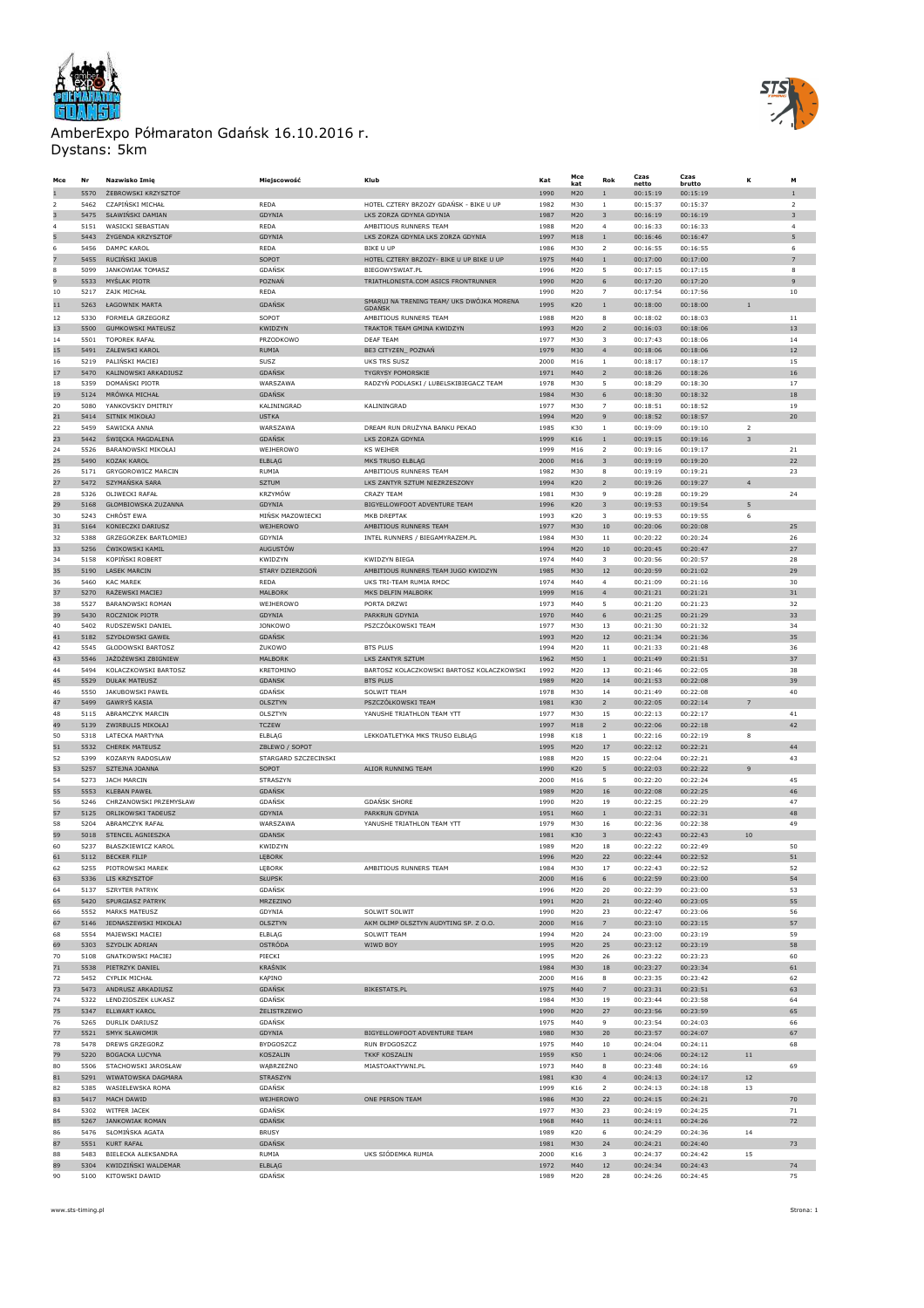



| Mce           | Nr           | Nazwisko Imię                                | Miejscowość                   | Klub                                                  | Kat          | Mce<br>kat | Rok                                     | Czas<br>netto        | Czas<br>brutto       | к              | м                       |
|---------------|--------------|----------------------------------------------|-------------------------------|-------------------------------------------------------|--------------|------------|-----------------------------------------|----------------------|----------------------|----------------|-------------------------|
|               | 5570         | ŻEBROWSKI KRZYSZTOF                          |                               |                                                       | 1990         | M20        | $\,1$                                   | 00:15:19             | 00:15:19             |                | $\overline{1}$          |
| $\mathcal{P}$ | 5462         | CZAPIŃSKI MICHAŁ                             | REDA                          | HOTEL CZTERY BRZOZY GDAŃSK - BIKE U UP                | 1982         | M30        | $1\,$                                   | 00:15:37             | 00:15:37             |                | $\overline{2}$          |
| 3             | 5475         | SŁAWIŃSKI DAMIAN                             | GDYNIA                        | LKS ZORZA GDYNIA GDYNIA                               | 1987         | M20        | 3                                       | 00:16:19             | 00:16:19             |                | $\overline{\mathbf{3}}$ |
|               | 5151         | WASICKI SEBASTIAN                            | <b>REDA</b>                   | AMBITIOUS RUNNERS TEAM                                | 1988         | M20        | $\overline{4}$                          | 00:16:33             | 00:16:33             |                | $\overline{4}$          |
| 5<br>6        | 5443<br>5456 | ŻYGENDA KRZYSZTOF<br>DAMPC KAROL             | GDYNIA<br>REDA                | LKS ZORZA GDYNIA LKS ZORZA GDYNIA<br><b>BIKE U UP</b> | 1997<br>1986 | M18<br>M30 | $\mathbf{1}$<br>$\overline{\mathbf{2}}$ | 00:16:46<br>00:16:55 | 00:16:47<br>00:16:55 |                | 5<br>6                  |
|               | 5455         | RUCIŃSKI JAKUB                               | SOPOT                         | HOTEL CZTERY BRZOZY- BIKE U UP BIKE U UP              | 1975         | M40        | $1\,$                                   | 00:17:00             | 00:17:00             |                | $\overline{7}$          |
| 8             | 5099         | JANKOWIAK TOMASZ                             | GDAŃSK                        | BIEGOWYSWIAT.PL                                       | 1996         | M20        | 5                                       | 00:17:15             | 00:17:15             |                | 8                       |
| 9             | 5533         | MYŚLAK PIOTR                                 | POZNAŃ                        | TRIATHLONISTA.COM ASICS FRONTRUNNER                   | 1990         | M20        | 6                                       | 00:17:20             | 00:17:20             |                | $\mathbf{9}$            |
| 10            | 5217         | ZAJK MICHAŁ                                  | <b>REDA</b>                   |                                                       | 1990         | M20        | $\overline{7}$                          | 00:17:54             | 00:17:56             |                | 10                      |
| 11            | 5263         | ŁAGOWNIK MARTA                               | GDAŃSK                        | SMARUJ NA TRENING TEAM/ UKS DWÓJKA MORENA<br>GDANSK   | 1995         | K20        | $1\,$                                   | 00:18:00             | 00:18:00             | $\mathbf{1}$   |                         |
| 12            | 5330         | FORMELA GRZEGORZ                             | SOPOT                         | AMBITIOUS RUNNERS TEAM                                | 1988         | M20        | 8                                       | 00:18:02             | 00:18:03             |                | 11                      |
| 13<br>14      | 5500<br>5501 | <b>GUMKOWSKI MATEUSZ</b><br>TOPOREK RAFAŁ    | KWIDZYN<br>PRZODKOWO          | TRAKTOR TEAM GMINA KWIDZYN<br><b>DEAF TEAM</b>        | 1993<br>1977 | M20<br>M30 | $\overline{2}$<br>3                     | 00:16:03<br>00:17:43 | 00:18:06<br>00:18:06 |                | 13<br>14                |
| 15            | 5491         | ZALEWSKI KAROL                               | RUMIA                         | BE3 CITYZEN_ POZNAŃ                                   | 1979         | M30        | $\overline{\mathbf{4}}$                 | 00:18:06             | 00:18:06             |                | $12\,$                  |
| 16            | 5219         | PALIŃSKI MACIEJ                              | SUSZ                          | <b>UKS TRS SUSZ</b>                                   | 2000         | M16        | 1                                       | 00:18:17             | 00:18:17             |                | 15                      |
| 17            | 5470         | KALINOWSKI ARKADIUSZ                         | <b>GDAŃSK</b>                 | TYGRYSY POMORSKIE                                     | 1971         | M40        | $\overline{2}$                          | 00:18:26             | 00:18:26             |                | 16                      |
| 18            | 5359         | DOMAŃSKI PIOTR                               | WARSZAWA                      | RADZYŃ PODLASKI / LUBELSKIBIEGACZ TEAM                | 1978         | M30        | 5                                       | 00:18:29             | 00:18:30             |                | 17                      |
| 19            | 5124         | MRÓWKA MICHAŁ                                | <b>GDANSK</b>                 |                                                       | 1984         | M30        | 6                                       | 00:18:30             | 00:18:32             |                | 18                      |
| 20<br>21      | 5080         | YANKOVSKIY DMITRIY                           | KALININGRAD                   | KALININGRAD                                           | 1977         | M30        | $\overline{7}$                          | 00:18:51             | 00:18:52             |                | 19                      |
| 22            | 5414<br>5459 | SITNIK MIKOŁAJ<br>SAWICKA ANNA               | <b>USTKA</b><br>WARSZAWA      | DREAM RUN DRUŻYNA BANKU PEKAO                         | 1994<br>1985 | M20<br>K30 | 9<br>$1\,$                              | 00:18:52<br>00:19:09 | 00:18:57<br>00:19:10 | $\overline{2}$ | 20                      |
| 23            | 5442         | ŚWIĘCKA MAGDALENA                            | <b>GDAŃSK</b>                 | LKS ZORZA GDYNIA                                      | 1999         | K16        | $\,1$                                   | 00:19:15             | 00:19:16             | $\overline{3}$ |                         |
| 24            | 5526         | BARANOWSKI MIKOŁAJ                           | WEJHEROWO                     | <b>KS WEJHER</b>                                      | 1999         | M16        | $\overline{2}$                          | 00:19:16             | 00:19:17             |                | 21                      |
| 25            | 5490         | KOZAK KAROL                                  | <b>ELBLAG</b>                 | MKS TRUSO ELBLAG                                      | 2000         | M16        | 3                                       | 00:19:19             | 00:19:20             |                | 22                      |
| 26            | 5171         | <b>GRYGOROWICZ MARCIN</b>                    | RUMIA                         | AMBITIOUS RUNNERS TEAM                                | 1982         | M30        | 8                                       | 00:19:19             | 00:19:21             |                | 23                      |
| 27            | 5472         | SZYMAŃSKA SARA                               | <b>SZTUM</b>                  | LKS ZANTYR SZTUM NIEZRZESZONY                         | 1994         | K20        | $\overline{2}$                          | 00:19:26             | 00:19:27             | $\overline{4}$ |                         |
| 28            | 5326         | OLIWECKI RAFAŁ                               | <b>KRZYMÓW</b>                | <b>CRAZY TEAM</b>                                     | 1981         | M30        | 9                                       | 00:19:28             | 00:19:29             |                | 24                      |
| 29            | 5168         | GŁOMBIOWSKA ZUZANNA                          | GDYNIA                        | BIGYELLOWFOOT ADVENTURE TEAM                          | 1996         | K20        | 3                                       | 00:19:53             | 00:19:54             | 5              |                         |
| 30<br>31      | 5243<br>5164 | CHRÓST EWA<br>KONIECZKI DARIUSZ              | MIŃSK MAZOWIECKI<br>WEJHEROWO | MKB DREPTAK<br>AMBITIOUS RUNNERS TEAM                 | 1993<br>1977 | K20<br>M30 | 3<br>10                                 | 00:19:53<br>00:20:06 | 00:19:55<br>00:20:08 | 6              | 25                      |
| 32            | 5388         | GRZEGORZEK BARTŁOMIEJ                        | GDYNIA                        | INTEL RUNNERS / BIEGAMYRAZEM.PL                       | 1984         | M30        | $11\,$                                  | 00:20:22             | 00:20:24             |                | 26                      |
| 33            | 5256         | ĆWIKOWSKI KAMIL                              | <b>AUGUSTÓW</b>               |                                                       | 1994         | M20        | 10                                      | 00:20:45             | 00:20:47             |                | 27                      |
| 34            | 5158         | KOPIŃSKI ROBERT                              | <b>KWIDZYN</b>                | <b>KWIDZYN BIEGA</b>                                  | 1974         | M40        | 3                                       | 00:20:56             | 00:20:57             |                | 28                      |
| 35            | 5190         | <b>LASEK MARCIN</b>                          | STARY DZIERZGOŃ               | AMBITIOUS RUNNERS TEAM JUGO KWIDZYN                   | 1985         | M30        | 12                                      | 00:20:59             | 00:21:02             |                | 29                      |
| 36            | 5460         | <b>KAC MAREK</b>                             | REDA                          | UKS TRI-TEAM RUMIA RMDC                               | 1974         | M40        | 4                                       | 00:21:09             | 00:21:16             |                | 30                      |
| 37            | 5270         | RAŻEWSKI MACIEJ                              | MALBORK                       | MKS DELFIN MALBORK                                    | 1999         | M16        | $\overline{4}$                          | 00:21:21             | 00:21:21             |                | 31                      |
| 38            | 5527         | <b>BARANOWSKI ROMAN</b>                      | <b>WEIHEROWO</b>              | PORTA DRZWI                                           | 1973         | M40        | 5                                       | 00:21:20             | 00:21:23             |                | 32                      |
| 39<br>40      | 5430<br>5402 | ROCZNIOK PIOTR<br>RUDSZEWSKI DANIEL          | GDYNIA<br><b>JONKOWO</b>      | PARKRUN GDYNIA<br>PSZCZÓŁKOWSKI TEAM                  | 1970<br>1977 | M40<br>M30 | 6<br>13                                 | 00:21:25<br>00:21:30 | 00:21:29<br>00:21:32 |                | 33<br>34                |
| 41            | 5182         | SZYDŁOWSKI GAWEŁ                             | <b>GDANSK</b>                 |                                                       | 1993         | M20        | $12\,$                                  | 00:21:34             | 00:21:36             |                | 35                      |
| 42            | 5545         | GŁODOWSKI BARTOSZ                            | ŻUKOWO                        | <b>BTS PLUS</b>                                       | 1994         | M20        | 11                                      | 00:21:33             | 00:21:48             |                | 36                      |
| 43            | 5546         | JAŻDŻEWSKI ZBIGNIEW                          | MALBORK                       | LKS ZANTYR SZTUM                                      | 1962         | M50        | $\,1$                                   | 00:21:49             | 00:21:51             |                | 37                      |
| 44            | 5494         | KOLACZKOWSKI BARTOSZ                         | KRETOMINO                     | BARTOSZ KOLACZKOWSKI BARTOSZ KOLACZKOWSKI             | 1992         | M20        | 13                                      | 00:21:46             | 00:22:05             |                | 38                      |
| 45            | 5529         | <b>DUŁAK MATEUSZ</b>                         | GDANSK                        | <b>BTS PLUS</b>                                       | 1989         | M20        | 14                                      | 00:21:53             | 00:22:08             |                | 39                      |
| 46            | 5550         | JAKUBOWSKI PAWEŁ                             | GDAŃSK                        | <b>SOLWIT TEAM</b>                                    | 1978         | M30        | 14                                      | 00:21:49             | 00:22:08             |                | 40                      |
| 47            | 5499         | GAWRYŚ KASIA                                 | <b>OLSZTYN</b>                | PSZCZÓŁKOWSKI TEAM                                    | 1981         | K30        | $\overline{2}$                          | 00:22:05             | 00:22:14             | $\overline{7}$ |                         |
| 48<br>49      | 5115<br>5139 | ABRAMCZYK MARCIN<br>ZWIRBULIS MIKOŁAJ        | OLSZTYN<br><b>TCZEW</b>       | YANUSHE TRIATHLON TEAM YTT                            | 1977<br>1997 | M30<br>M18 | 15<br>$\overline{2}$                    | 00:22:13<br>00:22:06 | 00:22:17<br>00:22:18 |                | 41<br>42                |
| 50            | 5318         | LATECKA MARTYNA                              | ELBLAG                        | LEKKOATLETYKA MKS TRUSO ELBLĄG                        | 1998         | K18        | $\mathbf{1}$                            | 00:22:16             | 00:22:19             | 8              |                         |
| 51            | 5532         | <b>CHEREK MATEUSZ</b>                        | ZBLEWO / SOPOT                |                                                       | 1995         | M20        | 17                                      | 00:22:12             | 00:22:21             |                | 44                      |
| 52            | 5399         | KOZARYN RADOSLAW                             | STARGARD SZCZECINSKI          |                                                       | 1988         | M20        | 15                                      | 00:22:04             | 00:22:21             |                | 43                      |
| 53            | 5257         | SZTEJNA JOANNA                               | SOPOT                         | ALIOR RUNNING TEAM                                    | 1990         | K20        | 5                                       | 00:22:03             | 00:22:22             | $\mathbf{Q}$   |                         |
| 54            | 5273         | JACH MARCIN                                  | STRASZYN                      |                                                       | 2000         | M16        | 5                                       | 00:22:20             | 00:22:24             |                | 45                      |
| 55            | 5553         | <b>KLEBAN PAWEŁ</b>                          | GDAŃSK                        |                                                       | 1989         | M20        | 16                                      | 00:22:08             | 00:22:25             |                | 46                      |
| 56            | 5246<br>5125 | CHRZANOWSKI PRZEMYSŁAW<br>ORLIKOWSKI TADEUSZ | GDANSK                        | <b>GDANSK SHORE</b>                                   | 1990         | M20        | 19                                      | 00:22:25             | 00:22:29             |                | 47                      |
| 57<br>58      | 5204         | ABRAMCZYK RAFAŁ                              | GDYNIA<br>WARSZAWA            | PARKRUN GDYNIA<br>YANUSHE TRIATHLON TEAM YTT          | 1951<br>1979 | M60<br>M30 | $\mathbf{1}$<br>16                      | 00:22:31<br>00:22:36 | 00:22:31<br>00:22:38 |                | 48<br>49                |
| 59            | 5018         | STENCEL AGNIESZKA                            | GDANSK                        |                                                       | 1981         | K30        | 3                                       | 00:22:43             | 00:22:43             | 10             |                         |
| 60            | 5237         | BŁASZKIEWICZ KAROL                           | KWIDZYN                       |                                                       | 1989         | M20        | 18                                      | 00:22:22             | 00:22:49             |                | 50                      |
| 61            | 5112         | <b>BECKER FILIP</b>                          | LĘBORK                        |                                                       | 1996         | M20        | 22                                      | 00:22:44             | 00:22:52             |                | 51                      |
| 62            | 5255         | PIOTROWSKI MAREK                             | LĘBUKK                        | AMBITIOUS RUNNERS TEAM                                | 1984         |            | 17                                      | 00:22:43             | 00:22:52             |                | эz                      |
| 63            | 5336         | LIS KRZYSZTOF                                | <b>SŁUPSK</b>                 |                                                       | 2000         | M16        | 6                                       | 00:22:59             | 00:23:00             |                | 54                      |
| 64            | 5137         | <b>SZRYTER PATRYK</b>                        | GDAŃSK                        |                                                       | 1996         | M20        | 20                                      | 00:22:39             | 00:23:00             |                | 53                      |
| 65<br>66      | 5420<br>5552 | SPURGIASZ PATRYK<br><b>MARKS MATEUSZ</b>     | MRZEZINO<br>GDYNIA            | SOLWIT SOLWIT                                         | 1991<br>1990 | M20<br>M20 | 21<br>23                                | 00:22:40<br>00:22:47 | 00:23:05<br>00:23:06 |                | 55<br>56                |
| 67            | 5146         | JEDNASZEWSKI MIKOŁAJ                         | OLSZTYN                       | AKM OLIMP OLSZTYN AUDYTING SP. Z O.O.                 | 2000         | M16        | $\overline{7}$                          | 00:23:10             | 00:23:15             |                | 57                      |
| 68            | 5554         | MAJEWSKI MACIEJ                              | ELBLAG                        | SOI WIT TFAM                                          | 1994         | M20        | 24                                      | 00:23:00             | 00:23:19             |                | 59                      |
| 69            | 5303         | SZYDLIK ADRIAN                               | OSTRÓDA                       | WIWD BOY                                              | 1995         | M20        | 25                                      | 00:23:12             | 00:23:19             |                | 58                      |
| 70            | 5108         | <b>GNATKOWSKI MACIEJ</b>                     | PIECKI                        |                                                       | 1995         | M20        | 26                                      | 00:23:22             | 00:23:23             |                | 60                      |
| 71            | 5538         | PIETRZYK DANIEL                              | KRAŚNIK                       |                                                       | 1984         | M30        | 18                                      | 00:23:27             | 00:23:34             |                | 61                      |
| 72            | 5452         | CYPLIK MICHAŁ                                | KĄPINO                        |                                                       | 2000         | M16        | 8                                       | 00:23:35             | 00:23:42             |                | 62                      |
| 73            | 5473         | ANDRUSZ ARKADIUSZ                            | <b>GDAŃSK</b>                 | <b>BIKESTATS.PL</b>                                   | 1975         | M40        | $\overline{7}$                          | 00:23:31             | 00:23:51             |                | 63                      |
| 74<br>75      | 5322<br>5347 | LENDZIOSZEK ŁUKASZ<br><b>ELLWART KAROL</b>   | GDAŃSK<br>ŻELISTRZEWO         |                                                       | 1984<br>1990 | M30<br>M20 | 19<br>27                                | 00:23:44<br>00:23:56 | 00:23:58<br>00:23:59 |                | 64<br>65                |
| 76            | 5265         | DURLIK DARIUSZ                               | GDAŃSK                        |                                                       | 1975         | M40        | 9                                       | 00:23:54             | 00:24:03             |                | 66                      |
| 77            | 5521         | SMYK SŁAWOMIR                                | GDYNIA                        | BIGYELLOWFOOT ADVENTURE TEAM                          | 1980         | M30        | 20                                      | 00:23:57             | 00:24:07             |                | 67                      |
| 78            | 5478         | DREWS GRZEGORZ                               | <b>BYDGOSZCZ</b>              | <b>RUN BYDGOSZCZ</b>                                  | 1975         | M40        | 10                                      | 00:24:04             | 00:24:11             |                | 68                      |
| 79            | 5220         | BOGACKA LUCYNA                               | KOSZALIN                      | <b>TKKF KOSZALIN</b>                                  | 1959         | K50        | $\mathbf{1}$                            | 00:24:06             | 00:24:12             | $1\,1$         |                         |
| 80            | 5506         | STACHOWSKI JAROSŁAW                          | WĄBRZEŻNO                     | MIASTOAKTYWNI.PL                                      | 1973         | M40        | 8                                       | 00:23:48             | 00:24:16             |                | 69                      |
| 81            | 5291         | WIWATOWSKA DAGMARA                           | STRASZYN                      |                                                       | 1981         | K30        | 4                                       | 00:24:13             | 00:24:17             | $12$           |                         |
| 82            | 5385         | WASIELEWSKA ROMA                             | <b>GDANSK</b>                 |                                                       | 1999         | K16        | $\overline{2}$                          | 00:24:13             | 00:24:18             | 13             |                         |
| 83<br>84      | 5417<br>5302 | MACH DAWID<br>WITFER JACEK                   | WEJHEROWO<br>GDAŃSK           | ONE PERSON TEAM                                       | 1986<br>1977 | M30<br>M30 | 22<br>23                                | 00:24:15<br>00:24:19 | 00:24:21<br>00:24:25 |                | 70<br>71                |
| 85            | 5267         | JANKOWIAK ROMAN                              | GDAŃSK                        |                                                       | 1968         | M40        | $1\,1$                                  | 00:24:11             | 00:24:26             |                | 72                      |
| 86            | 5476         | SŁOMIŃSKA AGATA                              | <b>BRUSY</b>                  |                                                       | 1989         | K20        | 6                                       | 00:24:29             | 00:24:36             | 14             |                         |
| 87            | 5551         | KURT RAFAŁ                                   | GDAŃSK                        |                                                       | 1981         | M30        | 24                                      | 00:24:21             | 00:24:40             |                | 73                      |
| 88            | 5483         | BIELECKA ALEKSANDRA                          | RUMIA                         | UKS SIÓDEMKA RUMIA                                    | 2000         | K16        | 3                                       | 00:24:37             | 00:24:42             | 15             |                         |
| 89            | 5304         | KWIDZIŃSKI WALDEMAR                          | <b>ELBLAG</b>                 |                                                       | 1972         | M40        | 12                                      | 00:24:34             | 00:24:43             |                | 74                      |
| 90            | 5100         | KITOWSKI DAWID                               | GDAŃSK                        |                                                       | 1989         | M20        | 28                                      | 00:24:26             | 00:24:45             |                | 75                      |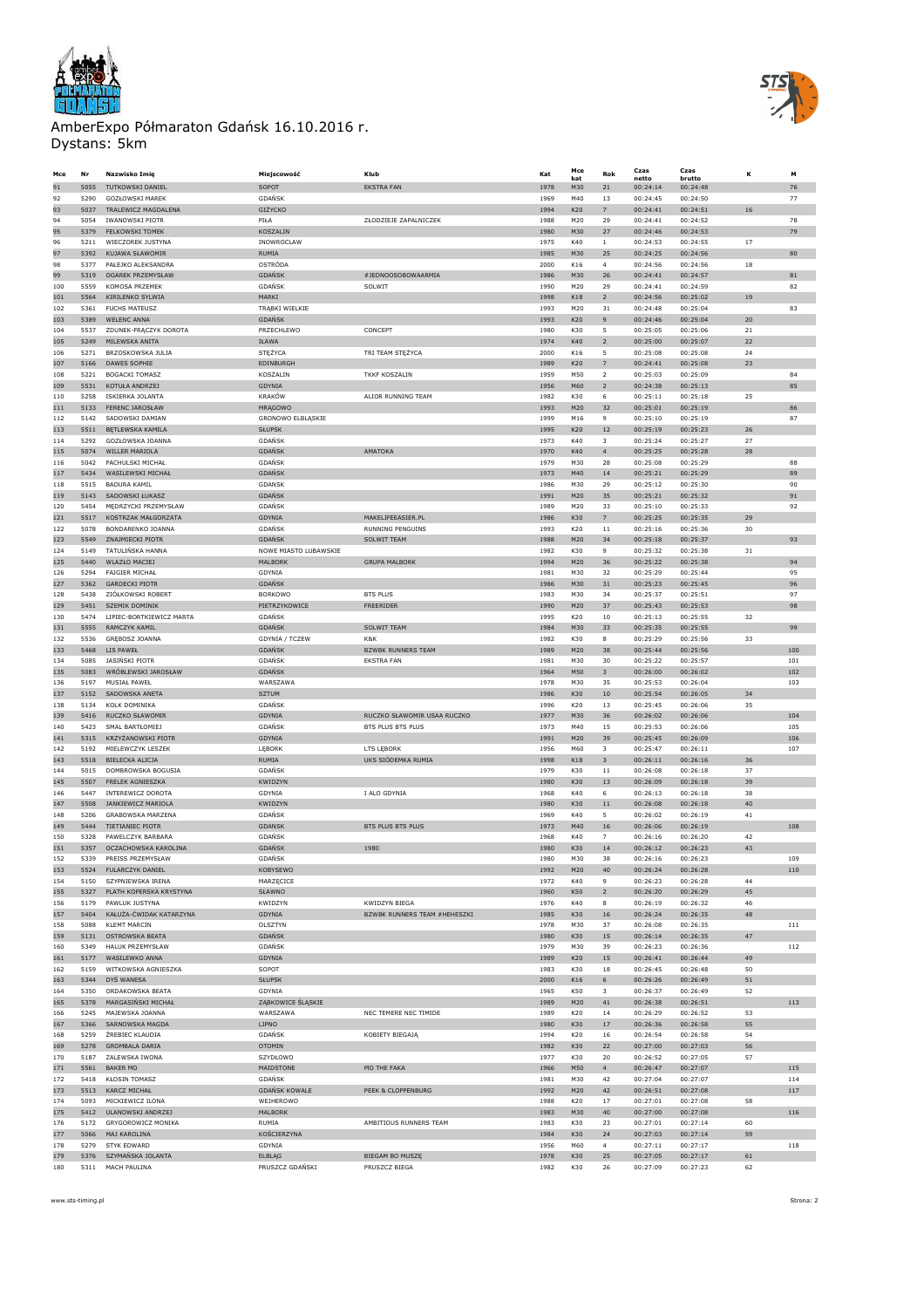



| Mce        | Nr           | Nazwisko Imię                              | Miejscowość                    | Klub                                                 | Kat          | Mce<br>kat | Rok                               | Czas<br>netto        | Czas<br>brutto       | κ        | м           |
|------------|--------------|--------------------------------------------|--------------------------------|------------------------------------------------------|--------------|------------|-----------------------------------|----------------------|----------------------|----------|-------------|
| 91         | 5055         | <b>TUTKOWSKI DANIEL</b>                    | SOPOT                          | <b>EKSTRA FAN</b>                                    | 1978         | M30        | 21                                | 00:24:14             | 00:24:48             |          | 76          |
| 92         | 5290         | GOZŁOWSKI MAREK                            | <b>GDAŃSK</b>                  |                                                      | 1969         | M40        | 13                                | 00:24:45             | 00:24:50             |          | 77          |
| 93         | 5037         | TRALEWICZ MAGDALENA                        | GIŻYCKO                        |                                                      | 1994         | K20        | 7                                 | 00:24:41             | 00:24:51             | 16       |             |
| 94         | 5054         | <b>IWANOWSKI PIOTR</b>                     | PIŁA                           | ZŁODZIEJE ZAPALNICZEK                                | 1988         | M20        | 29                                | 00:24:41             | 00:24:52             |          | 78          |
| 95         | 5379         | <b>FELKOWSKI TOMEK</b>                     | KOSZALIN                       |                                                      | 1980         | M30        | 27                                | 00:24:46             | 00:24:53             |          | 79          |
| 96         | 5211         | WIECZOREK JUSTYNA                          | INOWROCLAW                     |                                                      | 1975         | K40        | $\mathbf{1}$                      | 00:24:53             | 00:24:55             | 17       |             |
| 97         | 5392         | KUJAWA SŁAWOMIR                            | RUMIA                          |                                                      | 1985         | M30        | 25                                | 00:24:25             | 00:24:56             |          | 80          |
| 98         | 5377         | PAŁEJKO ALEKSANDRA                         | OSTRÓDA                        |                                                      | 2000         | K16        | $\overline{4}$                    | 00:24:56             | 00:24:56             | 18       |             |
| 99         | 5319         | OGAREK PRZEMYSŁAW                          | GDAŃSK                         | #JEDNOOSOBOWAARMIA                                   | 1986         | M30        | $26\,$                            | 00:24:41             | 00:24:57             |          | $^{\rm 81}$ |
| 100        | 5559<br>5564 | KOMOSA PRZEMEK<br>KIRILENKO SYLWIA         | <b>GDAŃSK</b><br>MARKI         | SOLWIT                                               | 1990         | M20<br>K18 | 29<br>$\overline{2}$              | 00:24:41             | 00:24:59<br>00:25:02 | 19       | 82          |
| 101<br>102 | 5361         | <b>FUCHS MATEUSZ</b>                       | TRĄBKI WIELKIE                 |                                                      | 1998<br>1993 | M20        | 31                                | 00:24:56<br>00:24:48 | 00:25:04             |          | 83          |
| 103        | 5389         | <b>WELENC ANNA</b>                         | <b>GDAŃSK</b>                  |                                                      | 1993         | K20        | 9                                 | 00:24:46             | 00:25:04             | 20       |             |
| 104        | 5537         | ZDUNEK-FRĄCZYK DOROTA                      | PRZECHLEWO                     | CONCEPT                                              | 1980         | K30        | 5                                 | 00:25:05             | 00:25:06             | 21       |             |
| 105        | 5249         | MILEWSKA ANITA                             | IŁAWA                          |                                                      | 1974         | K40        | $\overline{2}$                    | 00:25:00             | 00:25:07             | 22       |             |
| 106        | 5271         | BRZOSKOWSKA JULIA                          | STĘŻYCA                        | TRI TEAM STĘŻYCA                                     | 2000         | K16        | 5                                 | 00:25:08             | 00:25:08             | 24       |             |
| 107        | 5166         | DAWES SOPHIE                               | EDINBURGH                      |                                                      | 1989         | K20        | 7                                 | 00:24:41             | 00:25:08             | 23       |             |
| 108        | 5221         | BOGACKI TOMASZ                             | KOSZALIN                       | <b>TKKF KOSZALIN</b>                                 | 1959         | M50        | $\overline{2}$                    | 00:25:03             | 00:25:09             |          | 84          |
| 109        | 5531         | KOTUŁA ANDRZEJ                             | GDYNIA                         |                                                      | 1956         | M60        | $\overline{2}$                    | 00:24:38             | 00:25:13             |          | 85          |
| 110        | 5258         | ISKIERKA JOLANTA                           | KRAKÓW                         | ALIOR RUNNING TEAM                                   | 1982         | K30        | 6                                 | 00:25:11             | 00:25:18             | 25       |             |
| 111        | 5133         | FERENC JAROSŁAW                            | MRAGOWO                        |                                                      | 1993         | M20        | 32                                | 00:25:01             | 00:25:19             |          | 86          |
| 112        | 5142         | SADOWSKI DAMIAN                            | GRONOWO ELBLĄSKIE              |                                                      | 1999         | M16        | $\overline{9}$                    | 00:25:10             | 00:25:19             |          | 87          |
| 113        | 5511<br>5292 | <b>BETLEWSKA KAMILA</b>                    | <b>SŁUPSK</b>                  |                                                      | 1995         | K20<br>K40 | $12\,$<br>$\overline{\mathbf{3}}$ | 00:25:19             | 00:25:23             | 26<br>27 |             |
| 114<br>115 | 5074         | GOZŁOWSKA JOANNA<br>WILLER MARIOLA         | <b>GDAŃSK</b><br><b>GDAŃSK</b> | AMATOKA                                              | 1973<br>1970 | K40        | $\overline{4}$                    | 00:25:24<br>00:25:25 | 00:25:27<br>00:25:28 | 28       |             |
| 116        | 5042         | PACHULSKI MICHAŁ                           | GDAŃSK                         |                                                      | 1979         | M30        | 28                                | 00:25:08             | 00:25:29             |          | 88          |
| 117        | 5434         | WASTI FWSKT MTCHAŁ                         | <b>GDAŃSK</b>                  |                                                      | 1973         | M40        | 14                                | 00:25:21             | 00:25:29             |          | 89          |
| 118        | 5515         | <b>BADURA KAMIL</b>                        | GDANSK                         |                                                      | 1986         | M30        | 29                                | 00:25:12             | 00:25:30             |          | 90          |
| 119        | 5143         | SADOWSKI ŁUKASZ                            | <b>GDAŃSK</b>                  |                                                      | 1991         | M20        | 35                                | 00:25:21             | 00:25:32             |          | 91          |
| 120        | 5454         | MĘDRZYCKI PRZEMYSŁAW                       | GDAŃSK                         |                                                      | 1989         | M20        | 33                                | 00:25:10             | 00:25:33             |          | 92          |
| 121        | 5517         | KOSTRZAK MAŁGORZATA                        | GDYNIA                         | MAKELIFEEASIER.PL                                    | 1986         | K30        | $\overline{z}$                    | 00:25:25             | 00:25:35             | 29       |             |
| 122        | 5078         | BONDARENKO JOANNA                          | GDAŃSK                         | <b>RUNNING PENGUINS</b>                              | 1993         | K20        | $11\,$                            | 00:25:16             | 00:25:36             | 30       |             |
| 123        | 5549         | ZNAJMIECKI PIOTR                           | <b>GDAŃSK</b>                  | SOLWIT TEAM                                          | 1988         | M20        | 34                                | 00:25:18             | 00:25:37             |          | 93          |
| 124        | 5149         | TATULIŃSKA HANNA                           | NOWE MIASTO LUBAWSKIE          |                                                      | 1982         | K30        | 9                                 | 00:25:32             | 00:25:38             | 31       |             |
| 125        | 5440         | <b>WLAZŁO MACIEJ</b>                       | MALBORK                        | <b>GRUPA MALBORK</b>                                 | 1994         | M20        | 36                                | 00:25:22             | 00:25:38             |          | 94          |
| 126        | 5294         | FAJGIER MICHAŁ                             | GDYNIA                         |                                                      | 1981         | M30        | 32                                | 00:25:29             | 00:25:44             |          | 95          |
| 127        | 5362         | <b>GARDECKI PIOTR</b>                      | <b>GDAŃSK</b>                  |                                                      | 1986         | M30        | 31                                | 00:25:23             | 00:25:45             |          | 96          |
| 128        | 5438         | ZIÓŁKOWSKI ROBERT                          | <b>BORKOWO</b>                 | <b>BTS PLUS</b>                                      | 1983         | M30        | 34                                | 00:25:37<br>00:25:43 | 00:25:51             |          | 97          |
| 129<br>130 | 5451<br>5474 | SZEMIK DOMINIK<br>LIPIEC-BORTKIEWICZ MARTA | PIETRZYKOWICE<br>GDAŃSK        | FREERIDER                                            | 1990<br>1995 | M20<br>K20 | 37<br>10                          | 00:25:13             | 00:25:53<br>00:25:55 | 32       | 98          |
| 131        | 5555         | RAMCZYK KAMIL                              | <b>GDAŃSK</b>                  | SOLWIT TEAM                                          | 1984         | M30        | 33                                | 00:25:35             | 00:25:55             |          | 99          |
| 132        | 5536         | GREBOSZ JOANNA                             | GDYNIA / TCZEW                 | K&K                                                  | 1982         | K30        | 8                                 | 00:25:29             | 00:25:56             | 33       |             |
| 133        | 5468         | LIS PAWEŁ                                  | <b>GDAŃSK</b>                  | <b>BZWBK RUNNERS TEAM</b>                            | 1989         | M20        | 38                                | 00:25:44             | 00:25:56             |          | 100         |
| 134        | 5085         | <b>JASINSKI PIOTR</b>                      | <b>GDAŃSK</b>                  | <b>EKSTRA FAN</b>                                    | 1981         | M30        | 30                                | 00:25:22             | 00:25:57             |          | 101         |
| 135        | 5083         | WRÓBLEWSKI JAROSŁAW                        | <b>GDANSK</b>                  |                                                      | 1964         | M50        | $\overline{\mathbf{3}}$           | 00:26:00             | 00:26:02             |          | 102         |
| 136        | 5197         | MUSIAŁ PAWEŁ                               | WARSZAWA                       |                                                      | 1978         | M30        | 35                                | 00:25:53             | 00:26:04             |          | 103         |
| 137        | 5152         | SADOWSKA ANETA                             | <b>SZTUM</b>                   |                                                      | 1986         | K30        | $10\,$                            | 00:25:54             | 00:26:05             | 34       |             |
| 138        | 5134         | KOLK DOMINIKA                              | <b>GDANSK</b>                  |                                                      | 1996         | K20        | 13                                | 00:25:45             | 00:26:06             | 35       |             |
| 139        | 5416         | RUCZKO SŁAWOMIR                            | GDYNIA                         | RUCZKO SŁAWOMIR USAA RUCZKO                          | 1977         | M30        | 36                                | 00:26:02             | 00:26:06             |          | 104         |
| 140        | 5423         | SMAL BARTŁOMIEJ                            | GDAŃSK                         | BTS PLUS BTS PLUS                                    | 1973         | M40        | 15                                | 00:25:53             | 00:26:06             |          | 105         |
| 141        | 5315         | KRZYŻANOWSKI PIOTR                         | GDYNIA                         |                                                      | 1991         | M20        | 39                                | 00:25:45             | 00:26:09             |          | 106         |
| 142        | 5192         | MIELEWCZYK LESZEK                          | LĘBORK                         | LTS LEBORK                                           | 1956         | M60        | $\overline{\mathbf{3}}$           | 00:25:47             | 00:26:11             |          | 107         |
| 143<br>144 | 5518<br>5015 | BIELECKA ALICJA<br>DOMBROWSKA BOGUSIA      | RUMIA<br>GDAŃSK                | UKS SIÓDEMKA RUMIA                                   | 1998<br>1979 | K18<br>K30 | $\overline{\mathbf{3}}$<br>$11\,$ | 00:26:11<br>00:26:08 | 00:26:16<br>00:26:18 | 36<br>37 |             |
| 145        | 5507         | FRELEK AGNIESZKA                           | KWIDZYN                        |                                                      | 1980         | K30        | 13                                | 00:26:09             | 00:26:18             | 39       |             |
| 146        | 5447         | INTEREWICZ DOROTA                          | GDYNIA                         | I ALO GDYNIA                                         | 1968         | K40        | 6                                 | 00:26:13             | 00:26:18             | 38       |             |
| 147        | 5508         | JANKIEWICZ MARIOLA                         | KWIDZYN                        |                                                      | 1980         | K30        | $11\,$                            | 00:26:08             | 00:26:18             | 40       |             |
| 148        | 5206         | GRABOWSKA MARZENA                          | <b>GDAŃSK</b>                  |                                                      | 1969         | K40        | 5                                 | 00:26:02             | 00:26:19             | 41       |             |
| 149        | 5444         | TIETIANIEC PIOTR                           | <b>GDANSK</b>                  | BTS PLUS BTS PLUS                                    | 1973         | M40        | $16\,$                            | 00:26:06             | 00:26:19             |          | 108         |
| 150        | 5328         | PAWELCZYK BARBARA                          | <b>GDAŃSK</b>                  |                                                      | 1968         | K40        | $\overline{7}$                    | 00:26:16             | 00:26:20             | 42       |             |
| 151        | 5357         | OCZACHOWSKA KAROLINA                       | <b>GDAŃSK</b>                  | 1980                                                 | 1980         | K30        | 14                                | 00:26:12             | 00:26:23             | 43       |             |
| 152        | 5339         | PREISS PRZEMYSŁAW                          | GDAŃSK                         |                                                      | 1980         | M30        | 38                                | 00:26:16             | 00:26:23             |          | 109         |
| 153        | 5524         | FULARCZYK DANIEL                           | KOBYSEWO                       |                                                      | 1992         | M20        | 40                                | 00:26:24             | 00:26:28             |          | 110         |
| 154        | 5150         | SZYPNIEWSKA IRENA                          | MARZĘCICE                      |                                                      | 1972         | K40        | 9                                 | 00:26:23             | 00:26:28             | 44       |             |
| 155        | 5327<br>5179 | PLATH KOPERSKA KRYSTYNA                    | SŁAWNO<br>KWIDZYN              |                                                      | 1960         | K50<br>K40 | $\overline{2}$                    | 00:26:20             | 00:26:29             | 45       |             |
| 156<br>157 | 5404         | PAWLUK JUSTYNA<br>KAŁUŻA-ĆWIDAK KATARZYNA  | GDYNIA                         | KWIDZYN BIEGA<br><b>BZWBK RUNNERS TEAM #HEHESZKI</b> | 1976<br>1985 | K30        | 8<br>16                           | 00:26:19<br>00:26:24 | 00:26:32<br>00:26:35 | 46<br>48 |             |
| 158        | 5088         | <b>KLEMT MARCIN</b>                        | OLSZTYN                        |                                                      | 1978         | M30        | 37                                | 00:26:08             | 00:26:35             |          | 111         |
| 159        | 5131         | OSTROWSKA BEATA                            | <b>GDAŃSK</b>                  |                                                      | 1980         | K30        | 15                                | 00:26:14             | 00:26:35             | $47\,$   |             |
| 160        | 5349         | HALUK PRZEMYSŁAW                           | GDAŃSK                         |                                                      | 1979         | M30        | 39                                | 00:26:23             | 00:26:36             |          | 112         |
| 161        | 5177         | WASILEWKO ANNA                             | GDYNIA                         |                                                      | 1989         | K20        | 15                                | 00:26:41             | 00:26:44             | 49       |             |
| 162        | 5159         | WITKOWSKA AGNIESZKA                        | SOPOT                          |                                                      | 1983         | K30        | 18                                | 00:26:45             | 00:26:48             | 50       |             |
| 163        | 5344         | DYŚ WANESA                                 | <b>SŁUPSK</b>                  |                                                      | 2000         | K16        | 6                                 | 00:26:26             | 00:26:49             | 51       |             |
| 164        | 5350         | ORDAKOWSKA BEATA                           | GDYNIA                         |                                                      | 1965         | <b>K50</b> | $\overline{\mathbf{3}}$           | 00:26:37             | 00:26:49             | 52       |             |
| 165        | 5378         | MARGASIŃSKI MICHAŁ                         | ZĄBKOWICE ŚLĄSKIE              |                                                      | 1989         | M20        | 41                                | 00:26:38             | 00:26:51             |          | 113         |
| 166        | 5245         | MAJEWSKA JOANNA                            | WARSZAWA                       | NEC TEMERE NEC TIMIDE                                | 1989         | K20        | 14                                | 00:26:29             | 00:26:52             | 53       |             |
| 167        | 5366         | SARNOWSKA MAGDA                            | LIPNO                          |                                                      | 1980         | K30        | 17                                | 00:26:36             | 00:26:58             | 55       |             |
| 168        | 5259         | ŹREBIEC KLAUDIA                            | GDAŃSK                         | KOBIETY BIEGAJĄ                                      | 1994         | K20        | 16                                | 00:26:54             | 00:26:58             | 54       |             |
| 169        | 5278         | <b>GROMBALA DARIA</b>                      | <b>OTOMIN</b>                  |                                                      | 1982         | K30        | 22                                | 00:27:00             | 00:27:03             | 56       |             |
| 170        | 5187         | ZALEWSKA IWONA                             | SZYDŁOWO                       |                                                      | 1977         | K30        | 20                                | 00:26:52             | 00:27:05             | 57       |             |
| 171<br>172 | 5561<br>5418 | <b>BAKER MO</b><br><b>KŁOSIN TOMASZ</b>    | MAIDSTONE<br>GDAŃSK            | MO THE FAKA                                          | 1966<br>1981 | M50<br>M30 | $\overline{4}$<br>42              | 00:26:47<br>00:27:04 | 00:27:07<br>00:27:07 |          | 115<br>114  |
| 173        | 5513         | KARCZ MICHAŁ                               | <b>GDAŃSK KOWALE</b>           | PEEK & CLOPPENBURG                                   | 1992         | M20        | 42                                | 00:26:51             | 00:27:08             |          | 117         |
| 174        | 5093         | MICKIEWICZ ILONA                           | WEJHEROWO                      |                                                      | 1988         | K20        | 17                                | 00:27:01             | 00:27:08             | 58       |             |
| 175        | 5412         | ULANOWSKI ANDRZEJ                          | MALBORK                        |                                                      | 1983         | M30        | 40                                | 00:27:00             | 00:27:08             |          | 116         |
| 176        | 5172         | GRYGOROWICZ MONIKA                         | RUMIA                          | AMBITIOUS RUNNERS TEAM                               | 1983         | K30        | 23                                | 00:27:01             | 00:27:14             | 60       |             |
| 177        | 5066         | MAJ KAROLINA                               | KOŚCIERZYNA                    |                                                      | 1984         | K30        | 24                                | 00:27:03             | 00:27:14             | 59       |             |
| 178        | 5279         | <b>STYK EDWARD</b>                         | GDYNIA                         |                                                      | 1956         | M60        | $\overline{4}$                    | 00:27:11             | 00:27:17             |          | 118         |
| 179        | 5376         | SZYMAŃSKA JOLANTA                          | <b>ELBLAG</b>                  | BIEGAM BO MUSZĘ                                      | 1978         | K30        | 25                                | 00:27:05             | 00:27:17             | 61       |             |
| 180        | 5311         | MACH PAULINA                               | PRUSZCZ GDAŃSKI                | PRUSZCZ BIEGA                                        | 1982         | K30        | 26                                | 00:27:09             | 00:27:23             | 62       |             |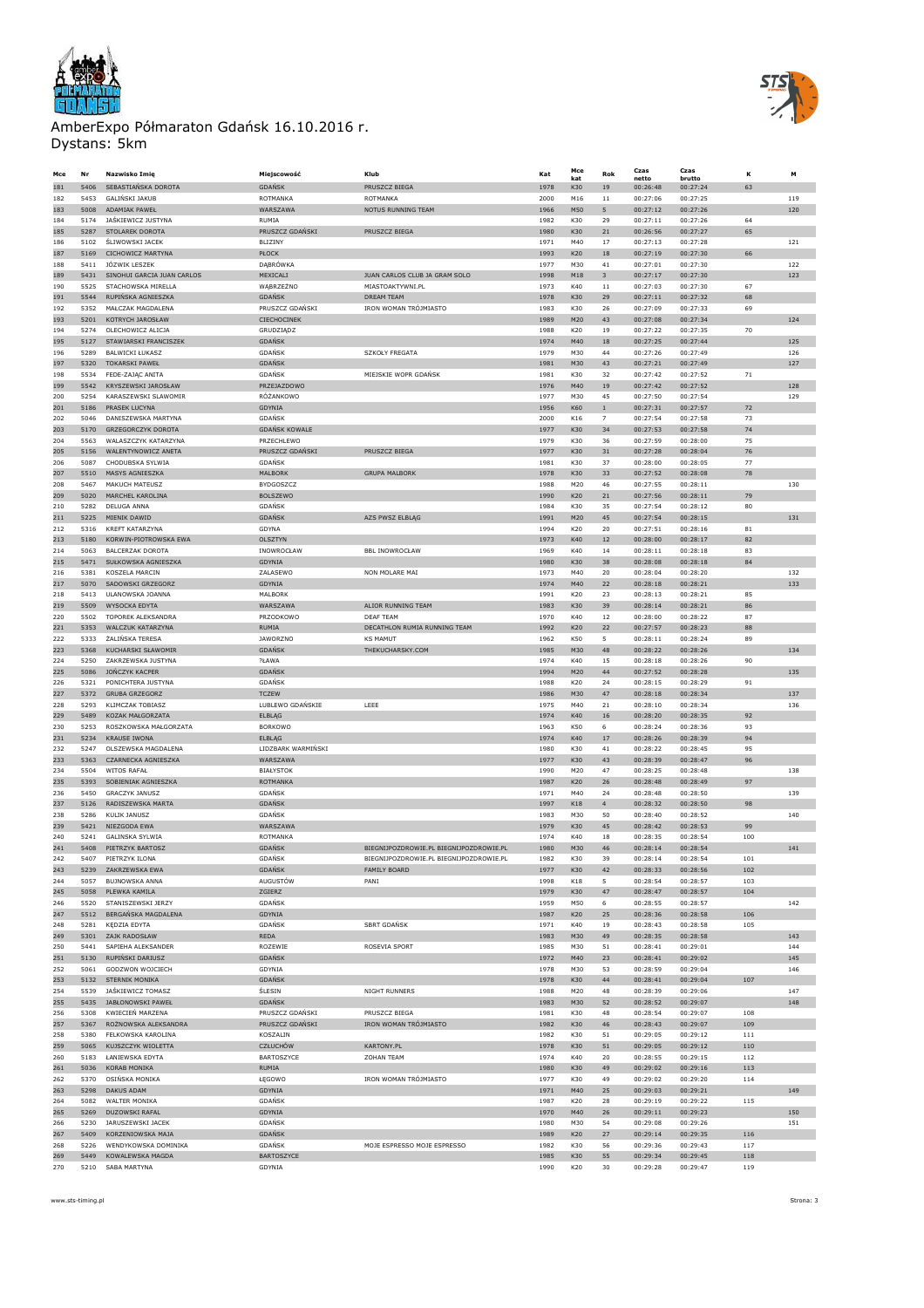



| Mce        | Nr           | Nazwisko Imię                               | Miejscowość                        | Klub                                    | Kat          | Mce<br>kat        | Rok            | Czas<br>netto        | Czas<br>brutto       | ĸ          | м          |
|------------|--------------|---------------------------------------------|------------------------------------|-----------------------------------------|--------------|-------------------|----------------|----------------------|----------------------|------------|------------|
| 181        | 5406         | SEBASTIAŃSKA DOROTA                         | <b>GDAŃSK</b>                      | PRUSZCZ BIEGA                           | 1978         | K30               | 19             | 00:26:48             | 00:27:24             | 63         |            |
| 182        | 5453         | GALIŃSKI JAKUB                              | ROTMANKA                           | ROTMANKA                                | 2000         | M16               | $1\,1$         | 00:27:06             | 00:27:25             |            | 119        |
| 183        | 5008         | ADAMIAK PAWEŁ                               | WARSZAWA                           | NOTUS RUNNING TEAM                      | 1966         | M50               | 5              | 00:27:12             | 00:27:26             |            | 120        |
| 184        | 5174         | JAŚKIEWICZ JUSTYNA                          | RUMIA                              |                                         | 1982         | K30               | 29             | 00:27:11             | 00:27:26             | 64         |            |
| 185        | 5287         | STOLAREK DOROTA                             | PRUSZCZ GDAŃSKI                    | PRUSZCZ BIEGA                           | 1980         | K30               | 21             | 00:26:56             | 00:27:27             | 65         |            |
| 186        | 5102         | <b>ŚLIWOWSKI JACEK</b>                      | BLIZINY                            |                                         | 1971         | M40               | 17             | 00:27:13             | 00:27:28             |            | 121        |
| 187        | 5169         | CICHOWICZ MARTYNA                           | PŁOCK                              |                                         | 1993         | K20               | $18\,$         | 00:27:19             | 00:27:30             | 66         |            |
| 188<br>189 | 5411<br>5431 | JÓZWIK LESZEK<br>SINOHUI GARCIA JUAN CARLOS | DĄBRÓWKA<br>MEXICALI               | JUAN CARLOS CLUB JA GRAM SOLO           | 1977<br>1998 | M30<br>M18        | 41<br>3        | 00:27:01<br>00:27:17 | 00:27:30<br>00:27:30 |            | 122<br>123 |
| 190        | 5525         | STACHOWSKA MIRELLA                          | WĄBRZEŻNO                          | MIASTOAKTYWNI.PL                        | 1973         | K40               | $11\,$         | 00:27:03             | 00:27:30             | 67         |            |
| 191        | 5544         | RUPIŃSKA AGNIESZKA                          | <b>GDAŃSK</b>                      | DREAM TEAM                              | 1978         | K30               | 29             | 00:27:11             | 00:27:32             | 68         |            |
| 192        | 5352         | MAŁCZAK MAGDALENA                           | PRUSZCZ GDAŃSKI                    | IRON WOMAN TRÓJMIASTO                   | 1983         | K30               | 26             | 00:27:09             | 00:27:33             | 69         |            |
| 193        | 5201         | KOTRYCH JAROSŁAW                            | CIECHOCINEK                        |                                         | 1989         | M20               | 43             | 00:27:08             | 00:27:34             |            | 124        |
| 194        | 5274         | OLECHOWICZ ALICJA                           | GRUDZIĄDZ                          |                                         | 1988         | K20               | 19             | 00:27:22             | 00:27:35             | 70         |            |
| 195        | 5127         | STAWIARSKI FRANCISZEK                       | GDAŃSK                             |                                         | 1974         | M40               | 18             | 00:27:25             | 00:27:44             |            | 125        |
| 196        | 5289         | <b>BAI WICKI FUKASZ</b>                     | GDAŃSK                             | <b>SZKOŁY FREGATA</b>                   | 1979         | M30               | 44             | 00:27:26             | 00:27:49             |            | 126        |
| 197        | 5320         | <b>TOKARSKI PAWEŁ</b>                       | <b>GDAŃSK</b>                      |                                         | 1981         | M30               | 43             | 00:27:21             | 00:27:49             |            | 127        |
| 198        | 5534         | FEDE-ZAJĄC ANITA                            | GDAŃSK                             | MIEJSKIE WOPR GDAŃSK                    | 1981         | K30               | 32             | 00:27:42             | 00:27:52             | 71         |            |
| 199        | 5542         | KRYSZEWSKI JAROSŁAW                         | PRZEJAZDOWO                        |                                         | 1976         | M40               | 19             | 00:27:42             | 00:27:52             |            | 128        |
| 200        | 5254         | KARASZEWSKI SLAWOMIR                        | RÓŻANKOWO                          |                                         | 1977         | M30               | 45             | 00:27:50             | 00:27:54             |            | 129        |
| 201        | 5186         | PRASEK LUCYNA                               | GDYNIA                             |                                         | 1956         | K60               | $\mathbf 1$    | 00:27:31             | 00:27:57             | 72         |            |
| 202        | 5046         | DANISZEWSKA MARTYNA                         | GDAŃSK                             |                                         | 2000         | K16               | $\overline{7}$ | 00:27:54             | 00:27:58             | 73         |            |
| 203<br>204 | 5170<br>5563 | <b>GRZEGORCZYK DOROTA</b>                   | <b>GDAŃSK KOWALE</b><br>PRZECHLEWO |                                         | 1977         | K30<br>K30        | 34             | 00:27:53<br>00:27:59 | 00:27:58             | 74         |            |
| 205        | 5156         | WALASZCZYK KATARZYNA<br>WALENTYNOWICZ ANETA | PRUSZCZ GDAŃSKI                    | PRUSZCZ BIEGA                           | 1979<br>1977 | K30               | 36<br>31       | 00:27:28             | 00:28:00<br>00:28:04 | 75<br>76   |            |
| 206        | 5087         | CHODUBSKA SYLWIA                            | GDAŃSK                             |                                         | 1981         | K30               | 37             | 00:28:00             | 00:28:05             | 77         |            |
| 207        | 5510         | MASYS AGNIESZKA                             | MALBORK                            | <b>GRUPA MALBORK</b>                    | 1978         | K30               | 33             | 00:27:52             | 00:28:08             | 78         |            |
| 208        | 5467         | MAKUCH MATEUSZ                              | BYDGOSZCZ                          |                                         | 1988         | M20               | 46             | 00:27:55             | 00:28:11             |            | 130        |
| 209        | 5020         | MARCHEL KAROLINA                            | <b>BOLSZEWO</b>                    |                                         | 1990         | K20               | 21             | 00:27:56             | 00:28:11             | 79         |            |
| 210        | 5282         | DELUGA ANNA                                 | GDAŃSK                             |                                         | 1984         | K30               | 35             | 00:27:54             | 00:28:12             | 80         |            |
| 211        | 5225         | MIENIK DAWID                                | GDAŃSK                             | AZS PWSZ ELBLĄG                         | 1991         | M20               | 45             | 00:27:54             | 00:28:15             |            | 131        |
| 212        | 5316         | KREFT KATARZYNA                             | GDYNA                              |                                         | 1994         | K20               | 20             | 00:27:51             | 00:28:16             | 81         |            |
| 213        | 5180         | KORWIN-PIOTROWSKA EWA                       | OLSZTYN                            |                                         | 1973         | K40               | $12\,$         | 00:28:00             | 00:28:17             | 82         |            |
| 214        | 5063         | <b>BALCERZAK DOROTA</b>                     | INOWROCŁAW                         | <b>BBL INOWROCŁAW</b>                   | 1969         | K40               | 14             | 00:28:11             | 00:28:18             | 83         |            |
| 215        | 5471         | SUŁKOWSKA AGNIESZKA                         | GDYNIA                             |                                         | 1980         | K30               | 38             | 00:28:08             | 00:28:18             | 84         |            |
| 216        | 5381         | KOSZELA MARCIN                              | ZALASEWO                           | NON MOLARE MAI                          | 1973         | M40               | 20             | 00:28:04             | 00:28:20             |            | 132        |
| 217        | 5070         | SADOWSKI GRZEGORZ                           | GDYNIA                             |                                         | 1974         | M40               | 22             | 00:28:18             | 00:28:21             |            | 133        |
| 218        | 5413         | ULANOWSKA JOANNA                            | MALBORK                            |                                         | 1991         | K20               | 23             | 00:28:13             | 00:28:21             | 85         |            |
| 219        | 5509         | WYSOCKA EDYTA                               | WARSZAWA                           | ALIOR RUNNING TEAM                      | 1983         | K30               | 39             | 00:28:14             | 00:28:21             | 86         |            |
| 220        | 5502         | TOPOREK ALEKSANDRA                          | PRZODKOWO                          | DEAF TEAM                               | 1970         | K40               | 12             | 00:28:00             | 00:28:22             | 87         |            |
| 221        | 5353         | <b>WALCZUK KATARZYNA</b>                    | RUMIA                              | DECATHLON RUMIA RUNNING TEAM            | 1992         | K20               | 22             | 00:27:57             | 00:28:23             | 88         |            |
| 222        | 5333         | ŻALIŃSKA TERESA                             | <b>JAWORZNO</b>                    | <b>KS MAMUT</b>                         | 1962         | K50               | 5              | 00:28:11             | 00:28:24             | 89         |            |
| 223        | 5368         | KUCHARSKI SŁAWOMIR                          | GDAŃSK                             | THEKUCHARSKY.COM                        | 1985         | M30               | 48             | 00:28:22             | 00:28:26             |            | 134        |
| 224        | 5250         | ZAKRZEWSKA JUSTYNA                          | ?ŁAWA                              |                                         | 1974         | K40               | 15             | 00:28:18             | 00:28:26             | 90         |            |
| 225        | 5086         | JONCZYK KACPER                              | <b>GDAŃSK</b>                      |                                         | 1994         | M20               | 44             | 00:27:52             | 00:28:28             |            | 135        |
| 226        | 5321         | PONICHTERA JUSTYNA                          | GDAŃSK                             |                                         | 1988         | K20               | 24             | 00:28:15             | 00:28:29             | 91         |            |
| 227<br>228 | 5372<br>5293 | <b>GRUBA GRZEGORZ</b><br>KLIMCZAK TOBIASZ   | <b>TCZEW</b><br>LUBLEWO GDAŃSKIE   | LEEE                                    | 1986<br>1975 | M30<br>M40        | 47<br>21       | 00:28:18<br>00:28:10 | 00:28:34<br>00:28:34 |            | 137<br>136 |
| 229        | 5489         | KOZAK MAŁGORZATA                            | <b>ELBLAG</b>                      |                                         | 1974         | K40               | 16             | 00:28:20             | 00:28:35             | 92         |            |
| 230        | 5253         | ROSZKOWSKA MAŁGORZATA                       | <b>BORKOWO</b>                     |                                         | 1963         | K50               | 6              | 00:28:24             | 00:28:36             | 93         |            |
| 231        | 5234         | <b>KRAUSE IWONA</b>                         | <b>ELBLAG</b>                      |                                         | 1974         | K40               | 17             | 00:28:26             | 00:28:39             | 94         |            |
| 232        | 5247         | OLSZEWSKA MAGDALENA                         | LIDZBARK WARMIŃSKI                 |                                         | 1980         | K30               | 41             | 00:28:22             | 00:28:45             | 95         |            |
| 233        | 5363         | CZARNECKA AGNIESZKA                         | WARSZAWA                           |                                         | 1977         | K30               | 43             | 00:28:39             | 00:28:47             | 96         |            |
| 234        | 5504         | WITOS RAFAŁ                                 | <b>BIAŁYSTOK</b>                   |                                         | 1990         | M20               | 47             | 00:28:25             | 00:28:48             |            | 138        |
| 235        | 5393         | SOBIENIAK AGNIESZKA                         | ROTMANKA                           |                                         | 1987         | K20               | 26             | 00:28:48             | 00:28:49             | 97         |            |
| 236        | 5450         | <b>GRACZYK JANUSZ</b>                       | GDAŃSK                             |                                         | 1971         | M40               | 24             | 00:28:48             | 00:28:50             |            | 139        |
| 237        | 5126         | RADISZEWSKA MARTA                           | <b>GDAŃSK</b>                      |                                         | 1997         | K18               | $\overline{4}$ | 00:28:32             | 00:28:50             | 98         |            |
| 238        | 5286         | KULIK JANUSZ                                | GDAŃSK                             |                                         | 1983         | M30               | 50             | 00:28:40             | 00:28:52             |            | 140        |
| 239        | 5421         | NIEZGODA EWA                                | WARSZAWA                           |                                         | 1979         | K30               | 45             | 00:28:42             | 00:28:53             | 99         |            |
| 240        | 5241         | <b>GALINSKA SYLWIA</b>                      | ROTMANKA                           |                                         | 1974         | K40               | 18             | 00:28:35             | 00:28:54             | 100        |            |
| 241        | 5408         | PIETRZYK BARTOSZ                            | GDAŃSK                             | BIEGNIJPOZDROWIE.PL BIEGNIJPOZDROWIE.PL | 1980         | M30               | 46             | 00:28:14             | 00:28:54             |            | 141        |
| 242        | 5407         | PIETRZYK ILONA                              | GDAŃSK                             | BIEGNIJPOZDROWIE.PL BIEGNIJPOZDROWIE.PL | 1982         | K30               | 39             | 00:28:14             | 00:28:54             | 101        |            |
| 243        | 5239         | ZAKRZEWSKA EWA                              | <b>GDANSK</b>                      | FAMILY BOARD                            | 1977         | K30               | 42             | 00:28:33             | 00:28:56             | 102        |            |
| 244        | 5057         | <b>BUJNOWSKA ANNA</b><br>PLEWKA KAMILA      | AUGUSTÓW                           | PANI                                    | 1998         | K18               | 5              | 00:28:54<br>00:28:47 | 00:28:57             | 103        |            |
| 245        | 5058         |                                             | ZGIERZ                             |                                         | 1979         | K30               | 47             |                      | 00:28:57             | 104        | 142        |
| 246<br>247 | 5520<br>5512 | STANISZEWSKI JERZY<br>BERGAŃSKA MAGDALENA   | GDAŃSK<br>GDYNIA                   |                                         | 1959<br>1987 | M50<br><b>K20</b> | 6<br>25        | 00:28:55<br>00:28:36 | 00:28:57<br>00:28:58 | 106        |            |
| 248        | 5281         | KĘDZIA EDYTA                                | GDAŃSK                             | <b>SBRT GDAŃSK</b>                      | 1971         | K40               | 19             | 00:28:43             | 00:28:58             | 105        |            |
| 249        | 5301         | ZAJK RADOSŁAW                               | REDA                               |                                         | 1983         | M30               | 49             | 00:28:35             | 00:28:58             |            | 143        |
| 250        | 5441         | SAPIEHA ALEKSANDER                          | ROZEWIE                            | ROSEVIA SPORT                           | 1985         | M30               | 51             | 00:28:41             | 00:29:01             |            | 144        |
| 251        | 5130         | RUPIŃSKI DARIUSZ                            | GDAŃSK                             |                                         | 1972         | M40               | 23             | 00:28:41             | 00:29:02             |            | 145        |
| 252        | 5061         | GODZWON WOJCIECH                            | GDYNIA                             |                                         | 1978         | M30               | 53             | 00:28:59             | 00:29:04             |            | 146        |
| 253        | 5132         | <b>STERNIK MONIKA</b>                       | GDAŃSK                             |                                         | 1978         | K30               | 44             | 00:28:41             | 00:29:04             | 107        |            |
| 254        | 5539         | JAŚKIEWICZ TOMASZ                           | ŚLESIN                             | NIGHT RUNNERS                           | 1988         | M20               | 48             | 00:28:39             | 00:29:06             |            | 147        |
| 255        | 5435         | JABŁONOWSKI PAWEŁ                           | <b>GDAŃSK</b>                      |                                         | 1983         | M30               | 52             | 00:28:52             | 00:29:07             |            | 148        |
| 256        | 5308         | KWIECIEŃ MARZENA                            | PRUSZCZ GDAŃSKI                    | PRUSZCZ BIEGA                           | 1981         | K30               | 48             | 00:28:54             | 00:29:07             | 108        |            |
| 257        | 5367         | ROŻNOWSKA ALEKSANDRA                        | PRUSZCZ GDAŃSKI                    | IRON WOMAN TRÓJMIASTO                   | 1982         | K30               | 46             | 00:28:43             | 00:29:07             | 109        |            |
| 258        | 5380         | FELKOWSKA KAROLINA                          | KOSZALIN                           |                                         | 1982         | K30               | 51             | 00:29:05             | 00:29:12             | 111        |            |
| 259        | 5065         | KUJSZCZYK WIOLETTA                          | CZŁUCHÓW                           | KARTONY.PL                              | 1978         | K30               | 51             | 00:29:05             | 00:29:12             | 110        |            |
| 260        | 5183         | ŁANIEWSKA EDYTA                             | BARTOSZYCE                         | ZOHAN TEAM                              | 1974         | K40               | 20             | 00:28:55             | 00:29:15             | 112        |            |
| 261        | 5036         | <b>KORAB MONIKA</b>                         | RUMIA                              |                                         | 1980         | K30               | 49             | 00:29:02             | 00:29:16             | 113        |            |
| 262        | 5370         | OSIŃSKA MONIKA                              | ŁĘGOWO                             | IRON WOMAN TRÓJMIASTO                   | 1977         | K30               | 49             | 00:29:02             | 00:29:20             | 114        |            |
| 263        | 5298         | DAKUS ADAM                                  | GDYNIA                             |                                         | 1971         | M40               | 25             | 00:29:03             | 00:29:21             |            | 149        |
| 264        | 5082         | WALTER MONIKA                               | GDAŃSK                             |                                         | 1987         | K20               | 28             | 00:29:19             | 00:29:22             | 115        |            |
| 265        | 5269         | DUZOWSKI RAFAL                              | GDYNIA                             |                                         | 1970         | M40               | 26             | 00:29:11             | 00:29:23             |            | 150        |
| 266        | 5230         | JARUSZEWSKI JACEK                           | GDAŃSK                             |                                         | 1980         | M30               | 54             | 00:29:08             | 00:29:26             |            | 151        |
| 267<br>268 | 5409<br>5226 | KORZENIOWSKA MAJA<br>WENDYKOWSKA DOMINIKA   | <b>GDAŃSK</b><br>GDAŃSK            | MOJE ESPRESSO MOJE ESPRESSO             | 1989         | K20<br>K30        | 27             | 00:29:14<br>00:29:36 | 00:29:35<br>00:29:43 | 116<br>117 |            |
| 269        | 5449         | KOWALEWSKA MAGDA                            | BARTOSZYCE                         |                                         | 1982<br>1985 | K30               | 56<br>55       | 00:29:34             | 00:29:45             | 118        |            |
| 270        | 5210         | SABA MARTYNA                                | GDYNIA                             |                                         | 1990         | K20               | 30             | 00:29:28             | 00:29:47             | 119        |            |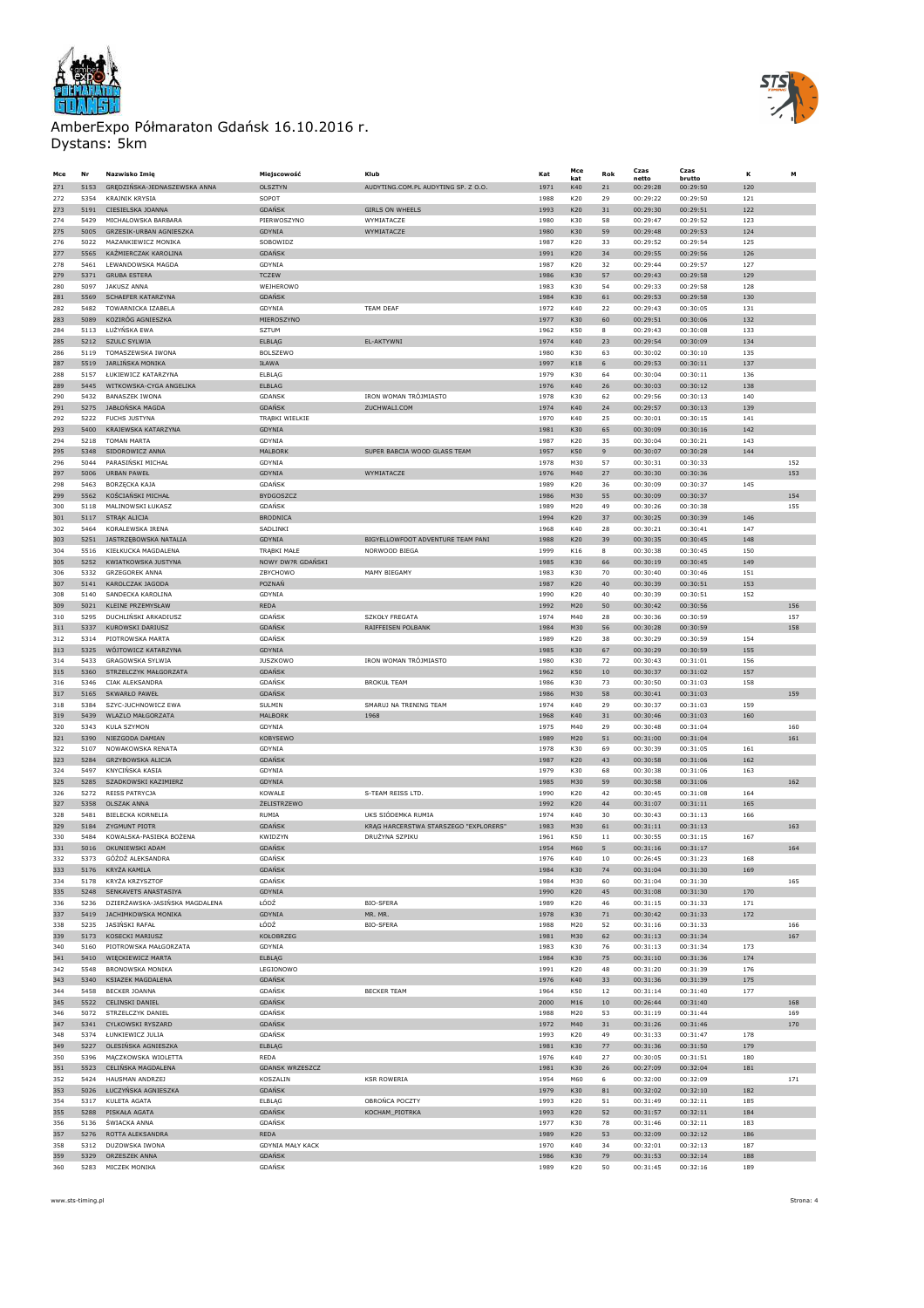



| Mce        | Nr           | Nazwisko Imię                                         | Miejscowość             | Klub                                  | Kat          | Mce<br>kat        | Rok      | Czas<br>netto        | Czas<br>brutto       | ĸ          | M   |
|------------|--------------|-------------------------------------------------------|-------------------------|---------------------------------------|--------------|-------------------|----------|----------------------|----------------------|------------|-----|
| 271        | 5153         | GRĘDZIŃSKA-JEDNASZEWSKA ANNA                          | OLSZTYN                 | AUDYTING.COM.PL AUDYTING SP. Z O.O.   | 1971         | K40               | 21       | 00:29:28             | 00:29:50             | 120        |     |
| 272        | 5354         | <b>KRAJNIK KRYSIA</b>                                 | SOPOT                   |                                       | 1988         | K20               | 29       | 00:29:22             | 00:29:50             | 121        |     |
| 273        | 5191         | CIESIELSKA JOANNA                                     | <b>GDAŃSK</b>           | <b>GIRLS ON WHEELS</b>                | 1993         | K20               | 31       | 00:29:30             | 00:29:51             | 122        |     |
| 274        | 5429         | MICHALOWSKA BARBARA                                   | PIERWOSZYNO             | WYMIATACZE                            | 1980         | K30               | 58       | 00:29:47             | 00:29:52             | 123        |     |
| 275        | 5005         | GRZESIK-URBAN AGNIESZKA                               | GDYNIA                  | WYMIATACZE                            | 1980         | K30               | 59       | 00:29:48             | 00:29:53             | 124        |     |
| 276        | 5022         | MAZANKIEWICZ MONIKA                                   | SOBOWIDZ                |                                       | 1987         | K20               | 33       | 00:29:52             | 00:29:54             | 125        |     |
| 277        | 5565         | KAŹMIERCZAK KAROLINA                                  | <b>GDAŃSK</b>           |                                       | 1991         | K20               | 34       | 00:29:55             | 00:29:56             | 126        |     |
| 278        | 5461         | LEWANDOWSKA MAGDA                                     | GDYNIA                  |                                       | 1987         | K20               | 32       | 00:29:44             | 00:29:57             | 127        |     |
| 279        | 5371         | <b>GRUBA ESTERA</b>                                   | <b>TCZEW</b>            |                                       | 1986         | K30               | 57       | 00:29:43             | 00:29:58             | 129        |     |
| 280        | 5097         | <b>JAKUSZ ANNA</b>                                    | WEJHEROWO               |                                       | 1983         | K30               | 54       | 00:29:33             | 00:29:58             | 128        |     |
| 281        | 5569         | SCHAEFER KATARZYNA                                    | <b>GDAŃSK</b>           |                                       | 1984         | K30               | 61       | 00:29:53             | 00:29:58             | 130        |     |
| 282        | 5482         | TOWARNICKA IZABELA                                    | GDYNIA                  | <b>TEAM DEAF</b>                      | 1972         | K40               | 22       | 00:29:43             | 00:30:05             | 131        |     |
| 283        | 5089         | KOZIRÓG AGNIESZKA                                     | MIEROSZYNO              |                                       | 1977         | K30               | 60       | 00:29:51             | 00:30:06             | 132        |     |
| 284        | 5113         | ŁUŻYŃSKA EWA                                          | SZTUM                   |                                       | 1962         | K50               | 8        | 00:29:43             | 00:30:08             | 133        |     |
| 285        | 5212         | SZULC SYLWIA                                          | ELBLAG                  | EL-AKTYWNI                            | 1974         | K40               | 23       | 00:29:54             | 00:30:09             | 134        |     |
| 286        | 5119         | TOMASZEWSKA IWONA                                     | BOLSZEWO                |                                       | 1980         | K30               | 63       | 00:30:02             | 00:30:10<br>00:30:11 | 135        |     |
| 287        | 5519<br>5157 | <b>JARLIŃSKA MONIKA</b><br><b>FUKTEWICZ KATARZYNA</b> | IŁAWA                   |                                       | 1997         | <b>K18</b><br>K30 | 6        | 00:29:53             |                      | 137        |     |
| 288<br>289 | 5445         | WITKOWSKA-CYGA ANGELIKA                               | ELBLAG<br>ELBLAG        |                                       | 1979<br>1976 | K40               | 64<br>26 | 00:30:04<br>00:30:03 | 00:30:11<br>00:30:12 | 136<br>138 |     |
| 290        | 5432         | <b>BANASZEK IWONA</b>                                 | <b>GDANSK</b>           | IRON WOMAN TRÓJMIASTO                 | 1978         | K30               | 62       | 00:29:56             | 00:30:13             | 140        |     |
| 291        | 5275         | JABŁOŃSKA MAGDA                                       | <b>GDAŃSK</b>           | ZUCHWALI.COM                          | 1974         | K40               | 24       | 00:29:57             | 00:30:13             | 139        |     |
| 292        | 5222         | FUCHS JUSTYNA                                         | TRĄBKI WIELKIE          |                                       | 1970         | K40               | 25       | 00:30:01             | 00:30:15             | 141        |     |
| 293        | 5400         | KRAJEWSKA KATARZYNA                                   | GDYNIA                  |                                       | 1981         | K30               | 65       | 00:30:09             | 00:30:16             | 142        |     |
| 294        | 5218         | TOMAN MARTA                                           | GDYNIA                  |                                       | 1987         | K20               | 35       | 00:30:04             | 00:30:21             | 143        |     |
| 295        | 5348         | SIDOROWICZ ANNA                                       | <b>MALBORK</b>          | SUPER BABCIA WOOD GLASS TEAM          | 1957         | K50               | 9        | 00:30:07             | 00:30:28             | 144        |     |
| 296        | 5044         | PARASIŃSKI MICHAŁ                                     | GDYNIA                  |                                       | 1978         | M30               | 57       | 00:30:31             | 00:30:33             |            | 152 |
| 297        | 5006         | URBAN PAWEŁ                                           | GDYNIA                  | WYMIATACZE                            | 1976         | M40               | 27       | 00:30:30             | 00:30:36             |            | 153 |
| 298        | 5463         | <b>BORZECKA KAJA</b>                                  | GDAŃSK                  |                                       | 1989         | K20               | 36       | 00:30:09             | 00:30:37             | 145        |     |
| 299        | 5562         | KOŚCIAŃSKI MICHAŁ                                     | <b>BYDGOSZCZ</b>        |                                       | 1986         | M30               | 55       | 00:30:09             | 00:30:37             |            | 154 |
| 300        | 5118         | MALINOWSKI ŁUKASZ                                     | GDAŃSK                  |                                       | 1989         | M20               | 49       | 00:30:26             | 00:30:38             |            | 155 |
| 301        | 5117         | STRĄK ALICJA                                          | <b>BRODNICA</b>         |                                       | 1994         | K20               | 37       | 00:30:25             | 00:30:39             | 146        |     |
| 302        | 5464         | KORAI FWSKA IRFNA                                     | SADLINKI                |                                       | 1968         | K40               | 28       | 00:30:21             | 00:30:41             | 147        |     |
| 303        | 5251         | JASTRZĘBOWSKA NATALIA                                 | GDYNIA                  | BIGYELLOWFOOT ADVENTURE TEAM PANI     | 1988         | K20               | 39       | 00:30:35             | 00:30:45             | 148        |     |
| 304        | 5516         | KIEŁKUCKA MAGDALENA                                   | TRĄBKI MAŁE             | NORWOOD BIEGA                         | 1999         | K16               | 8        | 00:30:38             | 00:30:45             | 150        |     |
| 305        | 5252         | KWIATKOWSKA JUSTYNA                                   | NOWY DW?R GDAŃSKI       |                                       | 1985         | K30               | 66       | 00:30:19             | 00:30:45             | 149        |     |
| 306        | 5332         | <b>GRZEGOREK ANNA</b>                                 | ZBYCHOWO                | MAMY BIEGAMY                          | 1983         | K30               | 70       | 00:30:40             | 00:30:46             | 151        |     |
| 307        | 5141         | KAROLCZAK JAGODA                                      | POZNAŃ                  |                                       | 1987         | K20               | 40       | 00:30:39             | 00:30:51             | 153        |     |
| 308        | 5140         | SANDECKA KAROLINA                                     | GDYNIA                  |                                       | 1990         | K20               | 40       | 00:30:39             | 00:30:51             | 152        |     |
| 309        | 5021         | <b>KLEINE PRZEMYSŁAW</b>                              | <b>REDA</b>             |                                       | 1992         | M20               | 50       | 00:30:42             | 00:30:56             |            | 156 |
| 310        | 5295         | DUCHLIŃSKI ARKADIUSZ                                  | GDAŃSK                  | <b>SZKOŁY FREGATA</b>                 | 1974         | M40               | 28       | 00:30:36             | 00:30:59             |            | 157 |
| 311        | 5337         | KUROWSKI DARIUSZ                                      | <b>GDAŃSK</b>           | RAIFFEISEN POLBANK                    | 1984         | M30               | 56       | 00:30:28             | 00:30:59             |            | 158 |
| 312        | 5314         | PIOTROWSKA MARTA                                      | <b>GDANSK</b>           |                                       | 1989         | K20               | 38       | 00:30:29             | 00:30:59             | 154        |     |
| 313        | 5325         | WÓJTOWICZ KATARZYNA                                   | GDYNIA                  |                                       | 1985         | K30               | 67       | 00:30:29             | 00:30:59             | 155        |     |
| 314        | 5433         | GRAGOWSKA SYLWIA                                      | <b>JUSZKOWO</b>         | IRON WOMAN TRÓJMIASTO                 | 1980         | K30               | 72       | 00:30:43             | 00:31:01             | 156        |     |
| 315        | 5360         | STRZELCZYK MAŁGORZATA                                 | <b>GDAŃSK</b>           | <b>BROKUŁ TEAM</b>                    | 1962         | K50               | 10       | 00:30:37             | 00:31:02             | 157        |     |
| 316<br>317 | 5346<br>5165 | CIAK ALEKSANDRA<br><b>SKWARŁO PAWEŁ</b>               | GDAŃSK<br><b>GDAŃSK</b> |                                       | 1986<br>1986 | K30<br>M30        | 73<br>58 | 00:30:50<br>00:30:41 | 00:31:03<br>00:31:03 | 158        | 159 |
| 318        | 5384         | SZYC-JUCHNOWICZ EWA                                   | SULMIN                  | SMARUJ NA TRENING TEAM                | 1974         | K40               | 29       | 00:30:37             | 00:31:03             | 159        |     |
| 319        | 5439         | WLAZLO MAŁGORZATA                                     | MALBORK                 | 1968                                  | 1968         | K40               | 31       | 00:30:46             | 00:31:03             | 160        |     |
| 320        | 5343         | <b>KULA SZYMON</b>                                    | GDYNIA                  |                                       | 1975         | M40               | 29       | 00:30:48             | 00:31:04             |            | 160 |
| 321        | 5390         | NIEZGODA DAMIAN                                       | KOBYSEWO                |                                       | 1989         | M20               | 51       | 00:31:00             | 00:31:04             |            | 161 |
| 322        | 5107         | NOWAKOWSKA RENATA                                     | GDYNIA                  |                                       | 1978         | K30               | 69       | 00:30:39             | 00:31:05             | 161        |     |
| 323        | 5284         | GRZYBOWSKA ALICJA                                     | GDAŃSK                  |                                       | 1987         | K20               | 43       | 00:30:58             | 00:31:06             | 162        |     |
| 324        | 5497         | KNYCIŃSKA KASIA                                       | GDYNIA                  |                                       | 1979         | K30               | 68       | 00:30:38             | 00:31:06             | 163        |     |
| 325        | 5285         | SZADKOWSKI KAZIMIERZ                                  | GDYNIA                  |                                       | 1985         | M30               | 59       | 00:30:58             | 00:31:06             |            | 162 |
| 326        | 5272         | REISS PATRYCJA                                        | KOWALE                  | S-TEAM REISS LTD.                     | 1990         | K20               | 42       | 00:30:45             | 00:31:08             | 164        |     |
| 327        | 5358         | <b>OLSZAK ANNA</b>                                    | ŻELISTRZEWO             |                                       | 1992         | K20               | 44       | 00:31:07             | 00:31:11             | 165        |     |
| 328        | 5481         | <b>BIFLECKA KORNELIA</b>                              | RUMIA                   | UKS SIÓDEMKA RUMIA                    | 1974         | K40               | 30       | 00:30:43             | 00:31:13             | 166        |     |
| 329        | 5184         | ZYGMUNT PIOTR                                         | <b>GDAŃSK</b>           | KRAG HARCERSTWA STARSZEGO "EXPLORERS" | 1983         | M30               | 61       | 00:31:11             | 00:31:13             |            | 163 |
| 330        | 5484         | KOWALSKA-PASIEKA BOŻENA                               | KWIDZYN                 | DRUŻYNA SZPIKU                        | 1961         | K50               | 11       | 00:30:55             | 00:31:15             | 167        |     |
| 331        | 5016         | OKUNIEWSKI ADAM                                       | <b>GDAŃSK</b>           |                                       | 1954         | M60               | 5        | 00:31:16             | 00:31:17             |            | 164 |
| 332        | 5373         | GÓŹDŹ ALEKSANDRA                                      | <b>GDANSK</b>           |                                       | 1976         | K40               | 10       | 00:26:45             | 00:31:23             | 168        |     |
| 333        | 5176         | KRYŻA KAMILA                                          | <b>GDANSK</b>           |                                       | 1984         | K30               | 74       | 00:31:04             | 00:31:30             | 169        |     |
| 334        | 5178         | <b>KRYŻA KRZYSZTOF</b>                                | GDAŃSK                  |                                       | 1984         | M30               | 60       | 00:31:04             | 00:31:30             |            | 165 |
| 335        | 5248         | SENKAVETS ANASTASIYA                                  | GDYNIA                  |                                       | 1990         | K20               | 45       | 00:31:08             | 00:31:30             | 170        |     |
| 336        | 5236         | DZIERŻAWSKA-JASIŃSKA MAGDALENA                        | ŁÓDŹ                    | <b>BIO-SFERA</b>                      | 1989         | K20               | 46       | 00:31:15             | 00:31:33             | 171        |     |
| 337        | 5419         | JACHIMKOWSKA MONIKA                                   | GDYNIA<br>ŁÓDŹ          | MR. MR.                               | 1978         | K30               | $71\,$   | 00:30:42             | 00:31:33             | 172        | 166 |
| 338        | 5235         | JASINSKI RAFAŁ                                        |                         | <b>BIO-SFERA</b>                      | 1988         | M20               | 52       | 00:31:16             | 00:31:33             |            |     |
| 339<br>340 | 5173<br>5160 | KOSECKI MARIUSZ<br>PIOTROWSKA MAŁGORZATA              | KOŁOBRZEG<br>GDYNIA     |                                       | 1981<br>1983 | M30<br>K30        | 62<br>76 | 00:31:13<br>00:31:13 | 00:31:34<br>00:31:34 | 173        | 167 |
| 341        | 5410         | WIĘCKIEWICZ MARTA                                     | ELBLĄG                  |                                       | 1984         | K30               | 75       | 00:31:10             | 00:31:36             | 174        |     |
| 342        | 5548         | <b>BRONOWSKA MONIKA</b>                               | LEGIONOWO               |                                       | 1991         | K20               | 48       | 00:31:20             | 00:31:39             | 176        |     |
| 343        | 5340         | KSIAZEK MAGDALENA                                     | <b>GDAŃSK</b>           |                                       | 1976         | K40               | 33       | 00:31:36             | 00:31:39             | 175        |     |
| 344        | 5458         | BECKER JOANNA                                         | GDAŃSK                  | <b>BECKER TEAM</b>                    | 1964         | K50               | 12       | 00:31:14             | 00:31:40             | 177        |     |
| 345        | 5522         | CELINSKI DANIEL                                       | <b>GDAŃSK</b>           |                                       | 2000         | M16               | $10\,$   | 00:26:44             | 00:31:40             |            | 168 |
| 346        | 5072         | STRZELCZYK DANIEL                                     | GDAŃSK                  |                                       | 1988         | M20               | 53       | 00:31:19             | 00:31:44             |            | 169 |
| 347        | 5341         | CYLKOWSKI RYSZARD                                     | <b>GDAŃSK</b>           |                                       | 1972         | M40               | 31       | 00:31:26             | 00:31:46             |            | 170 |
| 348        | 5374         | ŁUNKIEWICZ JULIA                                      | GDAŃSK                  |                                       | 1993         | K20               | 49       | 00:31:33             | 00:31:47             | 178        |     |
| 349        | 5227         | OLESIŃSKA AGNIESZKA                                   | ELBLAG                  |                                       | 1981         | K30               | 77       | 00:31:36             | 00:31:50             | 179        |     |
| 350        | 5396         | MĄCZKOWSKA WIOLETTA                                   | REDA                    |                                       | 1976         | K40               | 27       | 00:30:05             | 00:31:51             | 180        |     |
| 351        | 5523         | CELIŃSKA MAGDALENA                                    | <b>GDANSK WRZESZCZ</b>  |                                       | 1981         | K30               | 26       | 00:27:09             | 00:32:04             | 181        |     |
| 352        | 5424         | HAUSMAN ANDRZEJ                                       | KOSZALIN                | <b>KSR ROWERIA</b>                    | 1954         | M60               | 6        | 00:32:00             | 00:32:09             |            | 171 |
| 353        | 5026         | ŁUCZYŃSKA AGNIESZKA                                   | <b>GDAŃSK</b>           |                                       | 1979         | K30               | 81       | 00:32:02             | 00:32:10             | 182        |     |
| 354        | 5317         | KULETA AGATA                                          | ELBLAG                  | OBROŃCA POCZTY                        | 1993         | K20               | 51       | 00:31:49             | 00:32:11             | 185        |     |
| 355        | 5288         | PISKAŁA AGATA                                         | <b>GDAŃSK</b>           | KOCHAM_PIOTRKA                        | 1993         | K20               | 52       | 00:31:57             | 00:32:11             | 184        |     |
| 356        | 5136         | ŚWIACKA ANNA                                          | <b>GDAŃSK</b>           |                                       | 1977         | K30               | 78       | 00:31:46             | 00:32:11             | 183        |     |
| 357        | 5276         | ROTTA ALEKSANDRA                                      | REDA                    |                                       | 1989         | K20               | 53       | 00:32:09             | 00:32:12             | 186        |     |
| 358        | 5312         | DUZOWSKA IWONA                                        | <b>GDYNIA MAŁY KACK</b> |                                       | 1970         | K40               | 34       | 00:32:01             | 00:32:13             | 187        |     |
| 359        | 5329         | ORZESZEK ANNA                                         | <b>GDAŃSK</b>           |                                       | 1986         | K30               | 79       | 00:31:53             | 00:32:14             | 188        |     |
| 360        | 5283         | MICZEK MONIKA                                         | <b>GDAŃSK</b>           |                                       | 1989         | K20               | 50       | 00:31:45             | 00:32:16             | 189        |     |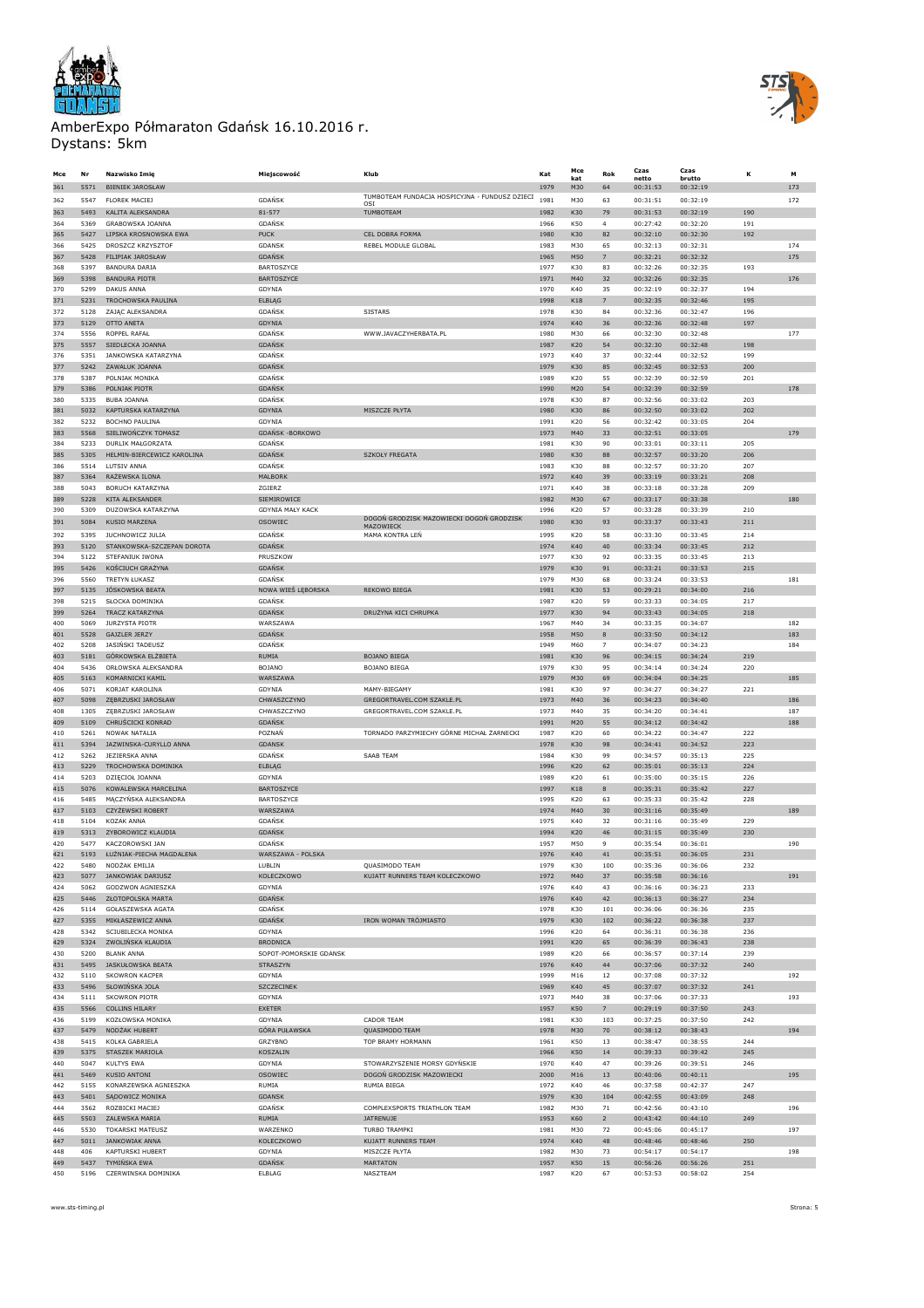



| Mce        | Nr           | Nazwisko Imię                              | Miejscowość             | Klub                                                         | Kat          | Mce<br>kat        | Rok                  | Czas<br>netto        | Czas<br>brutto       | κ          | м   |
|------------|--------------|--------------------------------------------|-------------------------|--------------------------------------------------------------|--------------|-------------------|----------------------|----------------------|----------------------|------------|-----|
| 361        | 5571         | <b>BIENIEK JAROSŁAW</b>                    |                         |                                                              | 1979         | M30               | 64                   | 00:31:53             | 00:32:19             |            | 173 |
| 362        | 5547         | <b>FLOREK MACIEJ</b>                       | GDAŃSK                  | TUMBOTEAM FUNDACJA HOSPICYJNA - FUNDUSZ DZIECI               | 1981         | M30               | 63                   | 00:31:51             | 00:32:19             |            | 172 |
| 363        | 5493         | KALITA ALEKSANDRA                          | 81-577                  | OSI<br>TUMBOTEAM                                             | 1982         | K30               | 79                   | 00:31:53             | 00:32:19             | 190        |     |
| 364        | 5369         | <b>GRABOWSKA JOANNA</b>                    | GDAŃSK                  |                                                              | 1966         | K50               | $\overline{4}$       | 00:27:42             | 00:32:20             | 191        |     |
| 365        |              |                                            |                         |                                                              |              |                   |                      |                      |                      |            |     |
| 366        | 5427<br>5425 | LIPSKA KROSNOWSKA EWA<br>DROSZCZ KRZYSZTOP | <b>PUCK</b><br>GDANSK   | CEL DOBRA FORMA<br>REBEL MODULE GLOBAL                       | 1980<br>1983 | K30<br>M30        | 82<br>65             | 00:32:10<br>00:32:13 | 00:32:30<br>00:32:31 | 192        | 174 |
|            | 5428         | FILIPIAK JAROSŁAW                          | <b>GDAŃSK</b>           |                                                              |              | M50               |                      | 00:32:21             | 00:32:32             |            | 175 |
| 367<br>368 | 5397         | <b>BANDURA DARIA</b>                       | <b>BARTOSZYCE</b>       |                                                              | 1965<br>1977 | K30               | 7<br>83              | 00:32:26             | 00:32:35             | 193        |     |
|            |              |                                            |                         |                                                              |              |                   |                      |                      |                      |            | 176 |
| 369        | 5398         | <b>BANDURA PIOTR</b>                       | BARTOSZYCE              |                                                              | 1971         | M40               | 32                   | 00:32:26             | 00:32:35             |            |     |
| 370        | 5299<br>5231 | DAKUS ANNA                                 | GDYNIA                  |                                                              | 1970<br>1998 | K40<br><b>K18</b> | 35<br>$\overline{7}$ | 00:32:19             | 00:32:37<br>00:32:46 | 194<br>195 |     |
| 371        |              | TROCHOWSKA PAULINA                         | ELBLAG                  |                                                              |              |                   |                      | 00:32:35             |                      |            |     |
| 372        | 5128         | ZAJĄC ALEKSANDRA                           | <b>GDAŃSK</b>           | <b>SISTARS</b>                                               | 1978         | K30               | 84                   | 00:32:36             | 00:32:47             | 196        |     |
| 373        | 5129         | OTTO ANETA<br>ROPPEL RAFAŁ                 | GDYNIA                  |                                                              | 1974         | K40               | 36                   | 00:32:36             | 00:32:48             | 197        | 177 |
| 374        | 5556         |                                            | <b>GDANSK</b>           | WWW.JAVACZYHERBATA.PL                                        | 1980         | M30               | 66                   | 00:32:30             | 00:32:48<br>00:32:48 |            |     |
| 375        | 5557         | SIEDLECKA JOANNA                           | <b>GDAŃSK</b>           |                                                              | 1987         | K20               | 54                   | 00:32:30             |                      | 198        |     |
| 376        | 5351         | JANKOWSKA KATARZYNA                        | GDAŃSK                  |                                                              | 1973         | K40               | 37                   | 00:32:44             | 00:32:52             | 199        |     |
| 377        | 5242         | ZAWALUK JOANNA                             | <b>GDAŃSK</b>           |                                                              | 1979         | K30               | 85                   | 00:32:45             | 00:32:53             | 200        |     |
| 378        | 5387         | POLNIAK MONIKA                             | GDAŃSK                  |                                                              | 1989         | K20               | 55                   | 00:32:39             | 00:32:59             | 201        |     |
| 379        | 5386         | POLNIAK PIOTR                              | <b>GDAŃSK</b>           |                                                              | 1990         | M20               | 54                   | 00:32:39             | 00:32:59             |            | 178 |
| 380        | 5335         | <b>BUBA JOANNA</b>                         | GDAŃSK                  |                                                              | 1978         | K30               | 87                   | 00:32:56             | 00:33:02             | 203        |     |
| 381        | 5032         | KAPTURSKA KATARZYNA                        | GDYNIA                  | MISZCZE PŁYTA                                                | 1980         | K30               | 86                   | 00:32:50             | 00:33:02             | 202        |     |
| 382        | 5232         | <b>BOCHNO PAULINA</b>                      | GDYNIA                  |                                                              | 1991         | K20               | 56                   | 00:32:42             | 00:33:05             | 204        |     |
| 383        | 5568         | SIELIWOŃCZYK TOMASZ                        | GDAŃSK -BORKOWO         |                                                              | 1973         | M40               | 33                   | 00:32:51             | 00:33:05             |            | 179 |
| 384        | 5233         | DURLIK MAŁGORZATA                          | GDAŃSK                  |                                                              | 1981         | K30               | 90                   | 00:33:01             | 00:33:11             | 205        |     |
| 385        | 5305         | HELMIN-BIERCEWICZ KAROLINA                 | <b>GDAŃSK</b>           | <b>SZKOŁY FREGATA</b>                                        | 1980         | K30               | 88                   | 00:32:57             | 00:33:20             | 206        |     |
| 386        | 5514         | LUTSIV ANNA                                | GDAŃSK                  |                                                              | 1983         | K30               | 88                   | 00:32:57             | 00:33:20             | 207        |     |
| 387        | 5364         | RAŻEWSKA ILONA                             | MALBORK                 |                                                              | 1972         | K40               | 39                   | 00:33:19             | 00:33:21             | 208        |     |
| 388        | 5043         | BORUCH KATARZYNA                           | ZGIERZ                  |                                                              | 1971         | K40               | 38                   | 00:33:18             | 00:33:28             | 209        |     |
| 389        | 5228         | <b>KITA ALEKSANDER</b>                     | SIEMIROWICE             |                                                              | 1982         | M30               | 67                   | 00:33:17             | 00:33:38             |            | 180 |
| 390        | 5309         | DUZOWSKA KATARZYNA                         | <b>GDYNIA MAŁY KACK</b> |                                                              | 1996         | K20               | 57                   | 00:33:28             | 00:33:39             | 210        |     |
| 391        | 5084         | <b>KUSIO MARZENA</b>                       | <b>OSOWIEC</b>          | DOGOŃ GRODZISK MAZOWIECKI DOGOŃ GRODZISK<br><b>MAZOWIECK</b> | 1980         | K30               | 93                   | 00:33:37             | 00:33:43             | 211        |     |
| 392        | 5395         | JUCHNOWICZ JULIA                           | GDAŃSK                  | MAMA KONTRA LEŃ                                              | 1995         | K20               | 58                   | 00:33:30             | 00:33:45             | 214        |     |
| 393        | 5120         | STANKOWSKA-SZCZEPAN DOROTA                 | <b>GDAŃSK</b>           |                                                              | 1974         | K40               | 40                   | 00:33:34             | 00:33:45             | 212        |     |
| 394        | 5122         | STEFANIUK IWONA                            | PRUSZKOW                |                                                              | 1977         | K30               | 92                   | 00:33:35             | 00:33:45             | 213        |     |
| 395        | 5426         | KOŚCIUCH GRAŻYNA                           | <b>GDAŃSK</b>           |                                                              | 1979         | K30               | 91                   | 00:33:21             | 00:33:53             | 215        |     |
| 396        | 5560         | TRETYN ŁUKASZ                              | GDAŃSK                  |                                                              | 1979         | M30               | 68                   | 00:33:24             | 00:33:53             |            | 181 |
| 397        | 5135         | JÓSKOWSKA BEATA                            | NOWA WIEŚ LĘBORSKA      | REKOWO BIEGA                                                 | 1981         | K30               | 53                   | 00:29:21             | 00:34:00             | 216        |     |
| 398        | 5215         | SŁOCKA DOMINIKA                            | GDAŃSK                  |                                                              | 1987         | K20               | 59                   | 00:33:33             | 00:34:05             | 217        |     |
| 399        | 5264         | <b>TRACZ KATARZYNA</b>                     | <b>GDAŃSK</b>           | DRUŻYNA KICI CHRUPKA                                         | 1977         | K30               | 94                   | 00:33:43             | 00:34:05             | 218        |     |
| 400        | 5069         | <b>JURZYSTA PIOTR</b>                      | WARSZAWA                |                                                              | 1967         | M40               | 34                   | 00:33:35             | 00:34:07             |            | 182 |
| 401        | 5528         | GAJZLER JERZY                              | <b>GDAŃSK</b>           |                                                              | 1958         | M50               | 8                    | 00:33:50             | 00:34:12             |            | 183 |
| 402        | 5208         | JASIŃSKI TADEUSZ                           | <b>GDAŃSK</b>           |                                                              | 1949         | M60               | $\overline{7}$       | 00:34:07             | 00:34:23             |            | 184 |
|            |              |                                            |                         |                                                              |              |                   |                      |                      |                      |            |     |
| 403        | 5181         | GÓRKOWSKA ELŻBIETA                         | RUMIA                   | <b>BOJANO BIEGA</b>                                          | 1981         | K30               | 96                   | 00:34:15             | 00:34:24             | 219        |     |
| 404        | 5436         | ORŁOWSKA ALEKSANDRA                        | BOJANO                  | <b>BOJANO BIEGA</b>                                          | 1979         | K30               | 95                   | 00:34:14             | 00:34:24             | 220        |     |
| 405        | 5163         | KOMARNICKI KAMIL                           | WARSZAWA                |                                                              | 1979         | M30               | 69                   | 00:34:04             | 00:34:25             |            | 185 |
| 406        | 5071         | KORJAT KAROLINA                            | GDYNIA                  | MAMY-BIEGAMY                                                 | 1981         | K30               | 97                   | 00:34:27             | 00:34:27             | 221        |     |
| 407        | 5098         | ZĘBRZUSKI JAROSŁAW                         | CHWASZCZYNO             | GREGORTRAVEL.COM SZAKLE.PL                                   | 1973         | M40               | 36                   | 00:34:23             | 00:34:40             |            | 186 |
| 408        | 1305         | ZĘBRZUSKI JAROSŁAW                         | CHWASZCZYNO             | GREGORTRAVEL.COM SZAKLE.PL                                   | 1973         | M40               | 35                   | 00:34:20             | 00:34:41             |            | 187 |
| 409        | 5109         | CHRUŚCICKI KONRAD                          | <b>GDANSK</b>           |                                                              | 1991         | M20               | 55                   | 00:34:12             | 00:34:42             |            | 188 |
| 410        | 5261         | NOWAK NATALIA                              | POZNAŃ                  | TORNADO PARZYMIECHY GÓRNE MICHAŁ ŻARNECKI                    | 1987         | K20               | 60                   | 00:34:22             | 00:34:47             | 222        |     |
| 411        | 5394         | JAZWINSKA-CURYLLO ANNA                     | <b>GDANSK</b>           |                                                              | 1978         | K30               | 98                   | 00:34:41             | 00:34:52             | 223        |     |
| 412        | 5262         | JEZIERSKA ANNA                             | GDAŃSK                  | SAAB TEAM                                                    | 1984         | K30               | 99                   | 00:34:57             | 00:35:13             | 225        |     |
| 413        | 5229         | TROCHOWSKA DOMINIKA                        | ELBLAG                  |                                                              | 1996         | K20               | 62                   | 00:35:01             | 00:35:13             | 224        |     |
| 414        | 5203         | DZIĘCIOŁ JOANNA                            | GDYNIA                  |                                                              | 1989         | K20               | 61                   | 00:35:00             | 00:35:15             | 226        |     |
| 415        | 5076         | KOWALEWSKA MARCELINA                       | BARTOSZYCE              |                                                              | 1997         | K18               | 8                    | 00:35:31             | 00:35:42             | 227        |     |
| 416        | 5485         | MĄCZYŃSKA ALEKSANDRA                       | BARTOSZYCE              |                                                              | 1995         | K20               | 63                   | 00:35:33             | 00:35:42             | 228        |     |
| 417        | 5103         | CZYŻEWSKI ROBERT                           | WARSZAWA                |                                                              | 1974         | M40               | 30                   | 00:31:16             | 00:35:49             |            | 189 |
| 418        | 5104         | KOZAK ANNA                                 | GDAŃSK                  |                                                              | 1975         | K40               | 32                   | 00:31:16             | 00:35:49             | 229        |     |
| 419        | 5313         | ZYBOROWICZ KLAUDIA                         | <b>GDAŃSK</b>           |                                                              | 1994         | K20               | 46                   | 00:31:15             | 00:35:49             | 230        |     |
| 420        | 5477         | KACZOROWSKI JAN                            | <b>GDAŃSK</b>           |                                                              | 1957         | M50               | 9                    | 00:35:54             | 00:36:01             |            | 190 |
| 421        | 5193         | ŁUŻNIAK-PIECHA MAGDALENA                   | WARSZAWA - POLSKA       |                                                              | 1976         | K40               | 41                   | 00:35:51             | 00:36:05             | 231        |     |
| 422        |              | NODZAK EMILIA                              | <b>LUDLIN</b>           | OUASIMODO TEAM                                               | 197.         |                   | 100                  | 00:35:36             |                      | 232        |     |
| 423        | 5077         | JANKOWIAK DARIUSZ                          | KOLECZKOWO              | KUJATT RUNNERS TEAM KOLECZKOWO                               | 1972         | M40               | 37                   | 00:35:58             | 00:36:16             |            | 191 |
| 424        | 5062         | GODZWON AGNIESZKA                          | GDYNIA                  |                                                              | 1976         | K40               | 43                   | 00:36:16             | 00:36:23             | 233        |     |
| 425        | 5446         | ZŁOTOPOLSKA MARTA                          | <b>GDAŃSK</b>           |                                                              | 1976         | K40               | 42                   | 00:36:13             | 00:36:27             | 234        |     |
| 426        | 5114         | GOŁASZEWSKA AGATA                          | GDAŃSK                  |                                                              | 1978         | K30               | 101                  | 00:36:06             | 00:36:36             | 235        |     |
| 427        | 5355         | MIKŁASZEWICZ ANNA                          | GDAŃŚK                  | IRON WOMAN TRÓJMIASTO                                        | 1979         | K30               | 102                  | 00:36:22             | 00:36:38             | 237        |     |
| 428        | 5342         | SCIUBILECKA MONIKA                         | GDYNIA                  |                                                              | 1996         | K20               | 64                   | 00:36:31             | 00:36:38             | 236        |     |
| 429        | 5324         | ZWOLIŃSKA KLAUDIA                          | <b>BRODNICA</b>         |                                                              | 1991         | K20               | 65                   | 00:36:39             | 00:36:43             | 238        |     |
| 430        | 5200         | <b>BLANK ANNA</b>                          | SOPOT-POMORSKIE GDANSK  |                                                              | 1989         | K20               | 66                   | 00:36:57             | 00:37:14             | 239        |     |
| 431        | 5495         | JASKUŁOWSKA BEATA                          | STRASZYN                |                                                              | 1976         | K40               | 44                   | 00:37:06             | 00:37:32             | 240        |     |
| 432        | 5110         | <b>SKOWRON KACPER</b>                      | GDYNIA                  |                                                              | 1999         | M16               | 12                   | 00:37:08             | 00:37:32             |            | 192 |
| 433        | 5496         | SŁOWIŃSKA JOLA                             | <b>SZCZECINEK</b>       |                                                              | 1969         | K40               | 45                   | 00:37:07             | 00:37:32             | 241        |     |
| 434        | 5111         | <b>SKOWRON PIOTR</b>                       | GDYNIA                  |                                                              | 1973         | M40               | 38                   | 00:37:06             | 00:37:33             |            | 193 |
| 435        | 5566         | <b>COLLINS HILARY</b>                      | <b>EXETER</b>           |                                                              | 1957         | K50               | $\overline{7}$       | 00:29:19             | 00:37:50             | 243        |     |
| 436        | 5199         | KOZŁOWSKA MONIKA                           | GDYNIA                  | CADOR TEAM                                                   | 1981         | K30               | 103                  | 00:37:25             | 00:37:50             | 242        |     |
| 437        | 5479         | NODŻAK HUBERT                              | GÓRA PUŁAWSKA           | QUASIMODO TEAM                                               | 1978         | M30               | $70\,$               | 00:38:12             | 00:38:43             |            | 194 |
|            | 5415         |                                            | GRZYBNO                 | TOP BRAMY HORMANN                                            |              | K50               | 13                   |                      |                      | 244        |     |
| 438        | 5375         | KOLKA GABRIELA<br>STASZEK MARIOLA          |                         |                                                              | 1961         |                   |                      | 00:38:47<br>00:39:33 | 00:38:55<br>00:39:42 |            |     |
| 439        |              |                                            | KOSZALIN                |                                                              | 1966         | K50               | $14\,$               |                      |                      | 245        |     |
| 440        | 5047         | KULTYS EWA                                 | GDYNIA                  | STOWARZYSZENIE MORSY GDYŃSKIE                                | 1970         | K40               | 47                   | 00:39:26             | 00:39:51             | 246        |     |
| 441        | 5469         | <b>KUSIO ANTONI</b>                        | OSOWIEC                 | DOGOŃ GRODZISK MAZOWIECKI                                    | 2000         | M16               | 13                   | 00:40:06             | 00:40:11             |            | 195 |
| 442        | 5155         | KONARZEWSKA AGNIESZKA                      | RUMIA                   | <b>RUMIA BIEGA</b>                                           | 1972         | K40               | 46                   | 00:37:58             | 00:42:37             | 247        |     |
| 443        | 5401         | SĄDOWICZ MONIKA                            | <b>GDANSK</b>           |                                                              | 1979         | K30               | 104                  | 00:42:55             | 00:43:09             | 248        |     |
| 444        | 3562         | ROZBICKI MACIEJ                            | GDAŃSK                  | COMPLEXSPORTS TRIATHLON TEAM                                 | 1982         | M30               | $71\,$               | 00:42:56             | 00:43:10             |            | 196 |
| 445        | 5503         | ZALEWSKA MARIA                             | RUMIA                   | JATRENUJE                                                    | 1953         | K60               | $\overline{a}$       | 00:43:42             | 00:44:10             | 249        |     |
| 446        | 5530         | <b>TOKARSKI MATEUSZ</b>                    | WARZENKO                | TURBO TRAMPKI                                                | 1981         | M30               | 72                   | 00:45:06             | 00:45:17             |            | 197 |
| 447        | 5011         | JANKOWIAK ANNA                             | KOLECZKOWO              | KUJATT RUNNERS TEAM                                          | 1974         | K40               | 48                   | 00:48:46             | 00:48:46             | 250        |     |
| 448        | 406          | KAPTURSKI HUBERT                           | GDYNIA                  | MISZCZE PŁYTA                                                | 1982         | M30               | 73                   | 00:54:17             | 00:54:17             |            | 198 |
| 449        | 5437         | TYMIŃSKA EWA                               | GDAŃSK                  | MARTATON                                                     | 1957         | K50               | 15                   | 00:56:26             | 00:56:26             | 251        |     |
| 450        | 5196         | CZERWINSKA DOMINIKA                        | ELBLAG                  | NASZTEAM                                                     | 1987         | K20               | 67                   | 00:53:53             | 00:58:02             | 254        |     |

www.sts-timing.pl Strona: 5